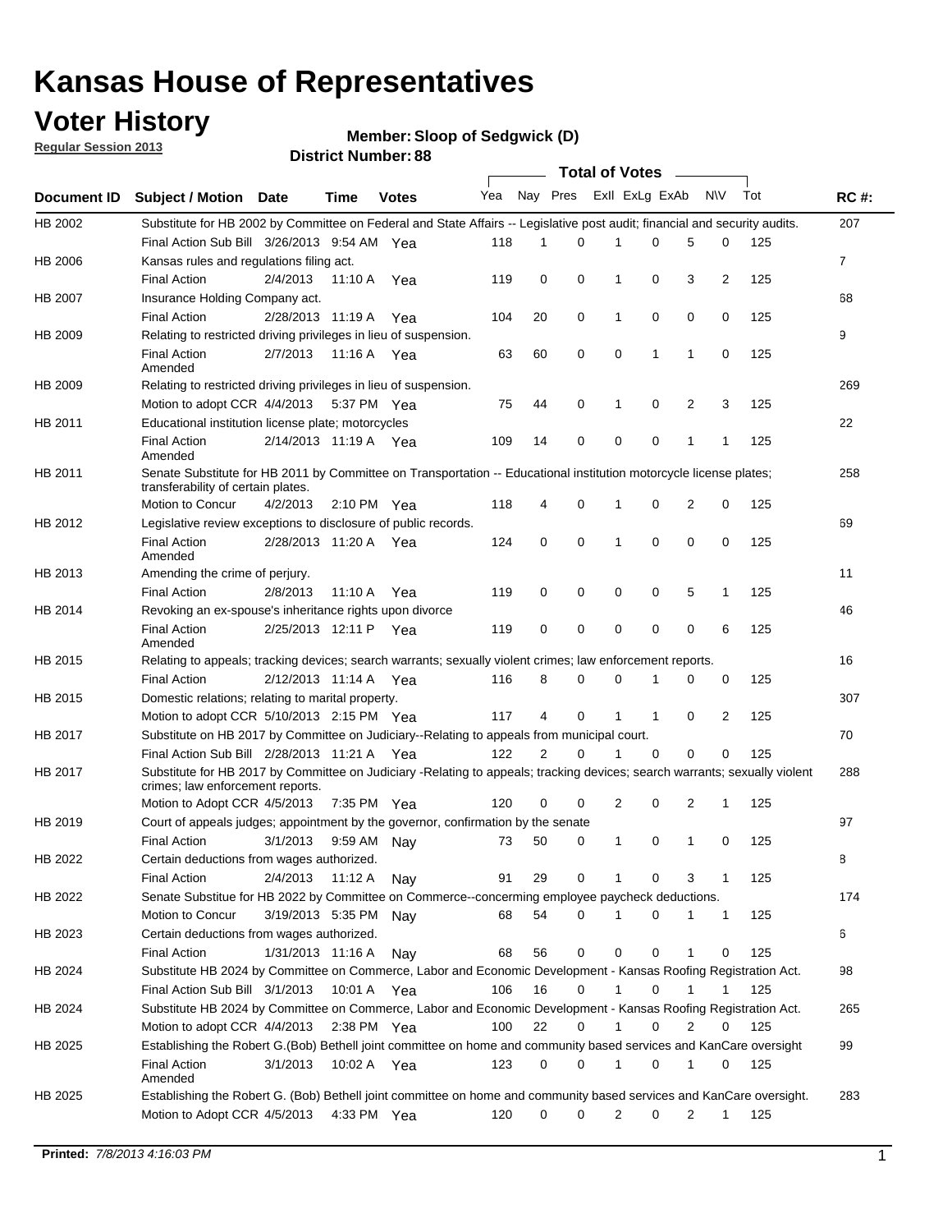## **Voter History**

**Member: Sloop of Sedgwick (D)** 

**Regular Session 2013**

|                    |                                                                                                                                                                |                       | טט . וסעווואדו ועוווסוע |              |                             |                |             | <b>Total of Votes</b> |              |             |                |     |                |
|--------------------|----------------------------------------------------------------------------------------------------------------------------------------------------------------|-----------------------|-------------------------|--------------|-----------------------------|----------------|-------------|-----------------------|--------------|-------------|----------------|-----|----------------|
| <b>Document ID</b> | <b>Subject / Motion Date</b>                                                                                                                                   |                       | <b>Time</b>             | <b>Votes</b> | Yea Nay Pres Exll ExLg ExAb |                |             |                       |              |             | N\V            | Tot | <b>RC#:</b>    |
| HB 2002            | Substitute for HB 2002 by Committee on Federal and State Affairs -- Legislative post audit; financial and security audits.                                     |                       |                         |              |                             |                |             |                       |              |             |                |     | 207            |
|                    | Final Action Sub Bill 3/26/2013 9:54 AM Yea                                                                                                                    |                       |                         |              | 118                         | 1              | 0           |                       | 0            | 5           | 0              | 125 |                |
| HB 2006            | Kansas rules and regulations filing act.                                                                                                                       |                       |                         |              |                             |                |             |                       |              |             |                |     | $\overline{7}$ |
|                    | <b>Final Action</b>                                                                                                                                            | 2/4/2013              | 11:10 A                 | Yea          | 119                         | 0              | 0           | $\mathbf 1$           | 0            | 3           | $\overline{2}$ | 125 |                |
| HB 2007            | Insurance Holding Company act.                                                                                                                                 |                       |                         |              |                             |                |             |                       |              |             |                |     | 68             |
|                    | <b>Final Action</b>                                                                                                                                            | 2/28/2013 11:19 A     |                         | Yea          | 104                         | 20             | 0           | 1                     | 0            | 0           | 0              | 125 |                |
| HB 2009            | Relating to restricted driving privileges in lieu of suspension.                                                                                               |                       |                         |              |                             |                |             |                       |              |             |                |     | 9              |
|                    | <b>Final Action</b><br>Amended                                                                                                                                 | 2/7/2013              | 11:16 A Yea             |              | 63                          | 60             | $\mathbf 0$ | 0                     | $\mathbf 1$  | $\mathbf 1$ | 0              | 125 |                |
| HB 2009            | Relating to restricted driving privileges in lieu of suspension.                                                                                               |                       |                         |              |                             |                |             |                       |              |             |                |     | 269            |
|                    | Motion to adopt CCR 4/4/2013                                                                                                                                   |                       | 5:37 PM Yea             |              | 75                          | 44             | 0           | 1                     | 0            | 2           | 3              | 125 |                |
| HB 2011            | Educational institution license plate; motorcycles                                                                                                             |                       |                         |              |                             |                |             |                       |              |             |                |     | 22             |
|                    | <b>Final Action</b><br>Amended                                                                                                                                 | 2/14/2013 11:19 A Yea |                         |              | 109                         | 14             | 0           | 0                     | 0            | 1           | 1              | 125 |                |
| HB 2011            | Senate Substitute for HB 2011 by Committee on Transportation -- Educational institution motorcycle license plates;                                             |                       |                         |              |                             |                |             |                       |              |             |                |     | 258            |
|                    | transferability of certain plates.                                                                                                                             |                       |                         |              |                             |                |             |                       |              |             |                |     |                |
|                    | Motion to Concur                                                                                                                                               | 4/2/2013              | $2:10 \text{ PM}$ Yea   |              | 118                         | 4              | 0           | 1                     | 0            | 2           | 0              | 125 |                |
| HB 2012            | Legislative review exceptions to disclosure of public records.                                                                                                 |                       |                         |              |                             |                |             |                       |              |             |                |     | 69             |
|                    | <b>Final Action</b><br>Amended                                                                                                                                 | 2/28/2013 11:20 A Yea |                         |              | 124                         | 0              | 0           | 1                     | 0            | 0           | 0              | 125 |                |
| HB 2013            | Amending the crime of perjury.                                                                                                                                 |                       |                         |              |                             |                |             |                       |              |             |                |     | 11             |
|                    | <b>Final Action</b>                                                                                                                                            | 2/8/2013              | 11:10 A                 | Yea          | 119                         | 0              | 0           | 0                     | 0            | 5           | 1              | 125 |                |
| HB 2014            | Revoking an ex-spouse's inheritance rights upon divorce                                                                                                        |                       |                         |              |                             |                |             |                       |              |             |                |     | 46             |
|                    | <b>Final Action</b><br>Amended                                                                                                                                 | 2/25/2013 12:11 P Yea |                         |              | 119                         | 0              | $\mathbf 0$ | 0                     | 0            | 0           | 6              | 125 |                |
| HB 2015            | Relating to appeals; tracking devices; search warrants; sexually violent crimes; law enforcement reports.                                                      |                       |                         |              |                             |                |             |                       |              |             |                |     | 16             |
|                    | <b>Final Action</b>                                                                                                                                            | 2/12/2013 11:14 A Yea |                         |              | 116                         | 8              | 0           | 0                     |              | 0           | 0              | 125 |                |
| HB 2015            | Domestic relations; relating to marital property.                                                                                                              |                       |                         |              |                             |                |             |                       |              |             |                |     | 307            |
|                    | Motion to adopt CCR 5/10/2013 2:15 PM Yea                                                                                                                      |                       |                         |              | 117                         | 4              | 0           | $\mathbf{1}$          | $\mathbf{1}$ | 0           | 2              | 125 |                |
| HB 2017            | Substitute on HB 2017 by Committee on Judiciary--Relating to appeals from municipal court.                                                                     |                       |                         |              |                             |                |             |                       |              |             |                |     | 70             |
|                    | Final Action Sub Bill 2/28/2013 11:21 A Yea                                                                                                                    |                       |                         |              | 122                         | $\overline{2}$ | 0           | 1                     | $\Omega$     | 0           | 0              | 125 |                |
| <b>HB 2017</b>     | Substitute for HB 2017 by Committee on Judiciary -Relating to appeals; tracking devices; search warrants; sexually violent<br>crimes; law enforcement reports. |                       |                         |              |                             |                |             |                       |              |             |                |     | 288            |
|                    | Motion to Adopt CCR 4/5/2013 7:35 PM Yea                                                                                                                       |                       |                         |              | 120                         | 0              | 0           | 2                     | 0            | 2           | 1              | 125 |                |
| HB 2019            | Court of appeals judges; appointment by the governor, confirmation by the senate                                                                               |                       |                         |              |                             |                |             |                       |              |             |                |     | 97             |
|                    | <b>Final Action</b>                                                                                                                                            | 3/1/2013              | 9:59 AM Nay             |              | 73                          | 50             | 0           | 1                     | 0            | $\mathbf 1$ | 0              | 125 |                |
| HB 2022            | Certain deductions from wages authorized.                                                                                                                      |                       |                         |              |                             |                |             |                       |              |             |                |     | В              |
|                    | <b>Final Action</b>                                                                                                                                            | 2/4/2013              | 11:12 A                 | Nav          | 91                          | 29             | 0           |                       | 0            | 3           | 1              | 125 |                |
| HB 2022            | Senate Substitue for HB 2022 by Committee on Commerce--concerming employee paycheck deductions.                                                                |                       |                         |              |                             |                |             |                       |              |             |                |     | 174            |
|                    | Motion to Concur                                                                                                                                               | 3/19/2013 5:35 PM Nay |                         |              | 68                          | 54             | 0           | 1                     | 0            | 1           | 1              | 125 |                |
| HB 2023            | Certain deductions from wages authorized.                                                                                                                      |                       |                         |              |                             |                |             |                       |              |             |                |     | 6              |
|                    | <b>Final Action</b>                                                                                                                                            | 1/31/2013 11:16 A     |                         | Nav          | 68                          | 56             | 0           | 0                     | 0            | 1           | 0              | 125 |                |
| HB 2024            | Substitute HB 2024 by Committee on Commerce, Labor and Economic Development - Kansas Roofing Registration Act.                                                 |                       |                         |              |                             |                |             |                       |              |             |                |     | 98             |
|                    | Final Action Sub Bill 3/1/2013                                                                                                                                 |                       | 10:01 A Yea             |              | 106                         | 16             | 0           | $\mathbf{1}$          | 0            | 1           | 1              | 125 |                |
| HB 2024            | Substitute HB 2024 by Committee on Commerce, Labor and Economic Development - Kansas Roofing Registration Act.                                                 |                       |                         |              |                             |                |             |                       |              |             |                |     | 265            |
|                    | Motion to adopt CCR 4/4/2013                                                                                                                                   |                       | $2:38$ PM Yea           |              | 100                         | 22             | 0           | $\mathbf{1}$          | 0            | 2           | 0              | 125 |                |
|                    | Establishing the Robert G.(Bob) Bethell joint committee on home and community based services and KanCare oversight                                             |                       |                         |              |                             |                |             |                       |              |             |                |     | 99             |
| HB 2025            |                                                                                                                                                                |                       |                         |              |                             |                |             |                       |              |             |                |     |                |
|                    | <b>Final Action</b><br>Amended                                                                                                                                 | 3/1/2013              | 10:02 A Yea             |              | 123                         | 0              | 0           | $\mathbf{1}$          | 0            | $\mathbf 1$ | 0              | 125 |                |
| HB 2025            | Establishing the Robert G. (Bob) Bethell joint committee on home and community based services and KanCare oversight.                                           |                       |                         |              |                             |                |             |                       |              |             |                |     | 283            |
|                    | Motion to Adopt CCR 4/5/2013                                                                                                                                   |                       | 4:33 PM Yea             |              | 120                         | 0              | 0           | 2                     | 0            | 2           | 1              | 125 |                |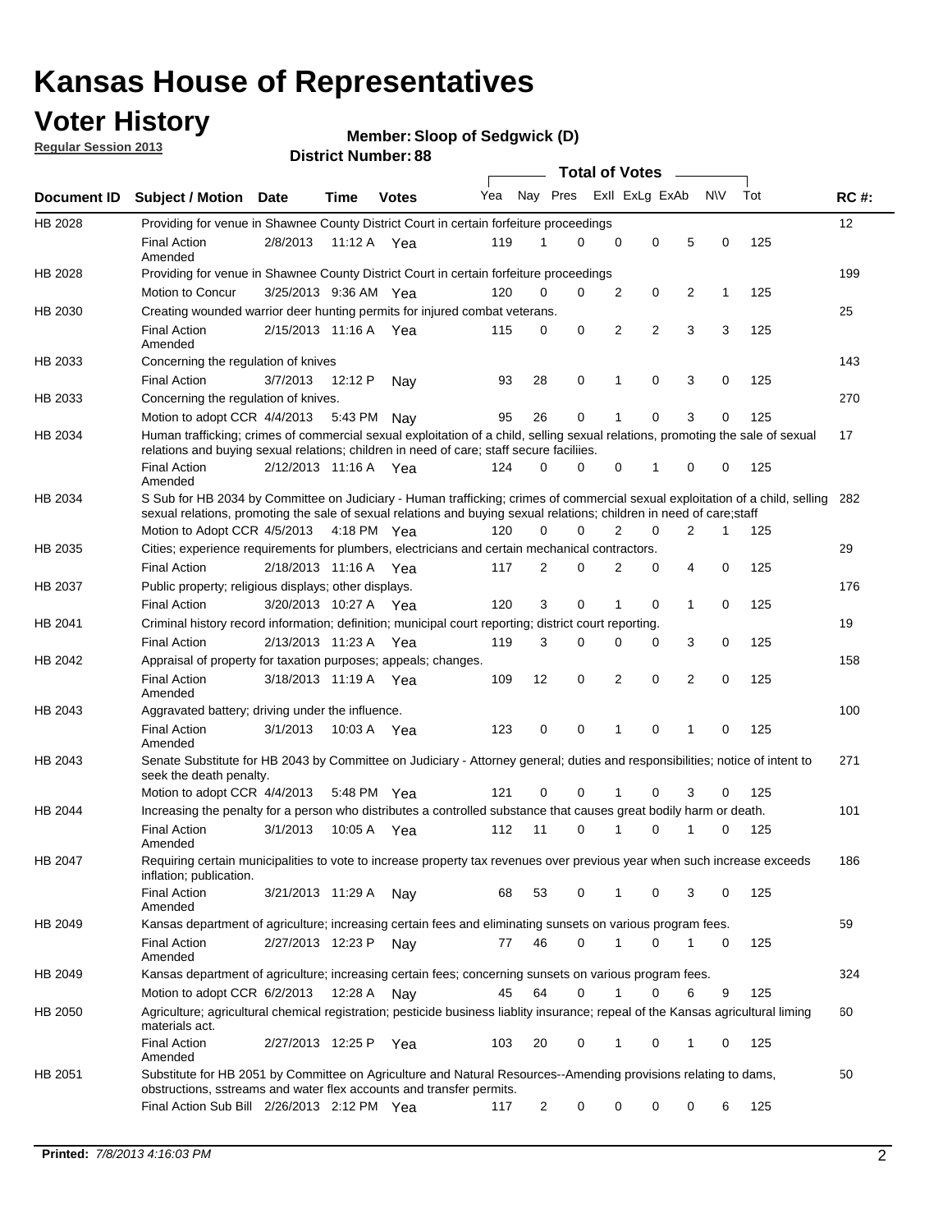## **Voter History**

**Member: Sloop of Sedgwick (D)** 

**Regular Session 2013**

|                    |                                                                                                                                                                                                                                                       |                       |         |              |     |                         | <b>Total of Votes</b> |                |   |                |           |     |             |
|--------------------|-------------------------------------------------------------------------------------------------------------------------------------------------------------------------------------------------------------------------------------------------------|-----------------------|---------|--------------|-----|-------------------------|-----------------------|----------------|---|----------------|-----------|-----|-------------|
| <b>Document ID</b> | <b>Subject / Motion Date</b>                                                                                                                                                                                                                          |                       | Time    | <b>Votes</b> | Yea | Nay Pres Exll ExLg ExAb |                       |                |   |                | <b>NV</b> | Tot | <b>RC#:</b> |
| HB 2028            | Providing for venue in Shawnee County District Court in certain forfeiture proceedings                                                                                                                                                                |                       |         |              |     |                         |                       |                |   |                |           |     | 12          |
|                    | <b>Final Action</b><br>Amended                                                                                                                                                                                                                        | 2/8/2013              | 11:12 A | Yea          | 119 | 1                       | 0                     | 0              | 0 | 5              | 0         | 125 |             |
| HB 2028            | Providing for venue in Shawnee County District Court in certain forfeiture proceedings                                                                                                                                                                |                       |         |              |     |                         |                       |                |   |                |           |     | 199         |
|                    | Motion to Concur                                                                                                                                                                                                                                      | 3/25/2013 9:36 AM Yea |         |              | 120 | 0                       | 0                     | 2              | 0 | 2              | 1         | 125 |             |
| HB 2030            | Creating wounded warrior deer hunting permits for injured combat veterans.                                                                                                                                                                            |                       |         |              |     |                         |                       |                |   |                |           |     | 25          |
|                    | <b>Final Action</b><br>Amended                                                                                                                                                                                                                        | 2/15/2013 11:16 A     |         | Yea          | 115 | 0                       | 0                     | 2              | 2 | 3              | 3         | 125 |             |
| HB 2033            | Concerning the regulation of knives                                                                                                                                                                                                                   |                       |         |              |     |                         |                       |                |   |                |           |     | 143         |
|                    | <b>Final Action</b>                                                                                                                                                                                                                                   | 3/7/2013              | 12:12 P | Nav          | 93  | 28                      | 0                     | 1              | 0 | 3              | 0         | 125 |             |
| HB 2033            | Concerning the regulation of knives.                                                                                                                                                                                                                  |                       |         |              |     |                         |                       |                |   |                |           |     | 270         |
|                    | Motion to adopt CCR 4/4/2013                                                                                                                                                                                                                          |                       |         | 5:43 PM Nay  | 95  | 26                      | 0                     |                | 0 | 3              | 0         | 125 |             |
| HB 2034            | Human trafficking; crimes of commercial sexual exploitation of a child, selling sexual relations, promoting the sale of sexual<br>relations and buying sexual relations; children in need of care; staff secure faciliies.                            |                       |         |              |     |                         |                       |                |   |                |           |     | 17          |
|                    | <b>Final Action</b><br>Amended                                                                                                                                                                                                                        | 2/12/2013 11:16 A Yea |         |              | 124 | 0                       | 0                     | 0              | 1 | 0              | 0         | 125 |             |
| HB 2034            | S Sub for HB 2034 by Committee on Judiciary - Human trafficking; crimes of commercial sexual exploitation of a child, selling<br>sexual relations, promoting the sale of sexual relations and buying sexual relations; children in need of care;staff |                       |         |              |     |                         |                       |                |   |                |           |     | 282         |
|                    | Motion to Adopt CCR 4/5/2013 4:18 PM Yea                                                                                                                                                                                                              |                       |         |              | 120 | 0                       | 0                     | $\overline{2}$ | 0 | $\overline{2}$ | 1         | 125 |             |
| HB 2035            | Cities; experience requirements for plumbers, electricians and certain mechanical contractors.                                                                                                                                                        |                       |         |              |     |                         |                       |                |   |                |           |     | 29          |
|                    | <b>Final Action</b>                                                                                                                                                                                                                                   | 2/18/2013 11:16 A     |         | Yea          | 117 | 2                       | 0                     | 2              | 0 | 4              | 0         | 125 |             |
| HB 2037            | Public property; religious displays; other displays.                                                                                                                                                                                                  |                       |         |              |     |                         |                       |                |   |                |           |     | 176         |
|                    | <b>Final Action</b>                                                                                                                                                                                                                                   | 3/20/2013 10:27 A     |         | Yea          | 120 | 3                       | 0                     |                | 0 | 1              | 0         | 125 |             |
| HB 2041            | Criminal history record information; definition; municipal court reporting; district court reporting.                                                                                                                                                 |                       |         |              |     |                         |                       |                |   |                |           |     | 19          |
|                    | <b>Final Action</b>                                                                                                                                                                                                                                   | 2/13/2013 11:23 A     |         | Yea          | 119 | 3                       | 0                     | 0              | 0 | 3              | 0         | 125 |             |
| HB 2042            | Appraisal of property for taxation purposes; appeals; changes.                                                                                                                                                                                        |                       |         |              |     |                         |                       |                |   |                |           |     | 158         |
|                    | <b>Final Action</b><br>Amended                                                                                                                                                                                                                        | 3/18/2013 11:19 A Yea |         |              | 109 | 12                      | 0                     | 2              | 0 | 2              | 0         | 125 |             |
| HB 2043            | Aggravated battery; driving under the influence.                                                                                                                                                                                                      |                       |         |              |     |                         |                       |                |   |                |           |     | 100         |
|                    | <b>Final Action</b><br>Amended                                                                                                                                                                                                                        | 3/1/2013              |         | 10:03 A Yea  | 123 | 0                       | 0                     | 1              | 0 | 1              | 0         | 125 |             |
| HB 2043            | Senate Substitute for HB 2043 by Committee on Judiciary - Attorney general; duties and responsibilities; notice of intent to<br>seek the death penalty.                                                                                               |                       |         |              |     |                         |                       |                |   |                |           |     | 271         |
|                    | Motion to adopt CCR 4/4/2013                                                                                                                                                                                                                          |                       |         | 5:48 PM Yea  | 121 | 0                       | 0                     | 1              | 0 | 3              | 0         | 125 |             |
| HB 2044            | Increasing the penalty for a person who distributes a controlled substance that causes great bodily harm or death.                                                                                                                                    |                       |         |              |     |                         |                       |                |   |                |           |     | 101         |
|                    | <b>Final Action</b><br>Amended                                                                                                                                                                                                                        | 3/1/2013              | 10:05 A | Yea          | 112 | 11                      | 0                     | 1              | 0 | 1              | 0         | 125 |             |
| HB 2047            | Requiring certain municipalities to vote to increase property tax revenues over previous year when such increase exceeds<br>inflation; publication.                                                                                                   |                       |         |              |     |                         |                       |                |   |                |           |     | 186         |
|                    | <b>Final Action</b><br>Amended                                                                                                                                                                                                                        | 3/21/2013 11:29 A     |         | Nav          | 68  | 53                      | 0                     | 1              | 0 | 3              | 0         | 125 |             |
| HB 2049            | Kansas department of agriculture; increasing certain fees and eliminating sunsets on various program fees.                                                                                                                                            |                       |         |              |     |                         |                       |                |   |                |           |     | 59          |
|                    | <b>Final Action</b><br>Amended                                                                                                                                                                                                                        | 2/27/2013 12:23 P     |         | Nay          | 77  | 46                      | 0                     | 1              | 0 | 1              | 0         | 125 |             |
| HB 2049            | Kansas department of agriculture; increasing certain fees; concerning sunsets on various program fees.                                                                                                                                                |                       |         |              |     |                         |                       |                |   |                |           |     | 324         |
|                    | Motion to adopt CCR 6/2/2013                                                                                                                                                                                                                          |                       | 12:28 A | Nay          | 45  | 64                      | 0                     | 1              | 0 | 6              | 9         | 125 |             |
| HB 2050            | Agriculture; agricultural chemical registration; pesticide business liablity insurance; repeal of the Kansas agricultural liming<br>materials act.                                                                                                    |                       |         |              |     |                         |                       |                |   |                |           |     | 60          |
|                    | <b>Final Action</b><br>Amended                                                                                                                                                                                                                        | 2/27/2013 12:25 P     |         | Yea          | 103 | 20                      | 0                     |                | 0 | 1              | 0         | 125 |             |
| HB 2051            | Substitute for HB 2051 by Committee on Agriculture and Natural Resources--Amending provisions relating to dams,<br>obstructions, sstreams and water flex accounts and transfer permits.                                                               |                       |         |              |     |                         |                       |                |   |                |           |     | 50          |
|                    | Final Action Sub Bill 2/26/2013 2:12 PM Yea                                                                                                                                                                                                           |                       |         |              | 117 | $\overline{c}$          | 0                     | 0              | 0 | 0              | 6         | 125 |             |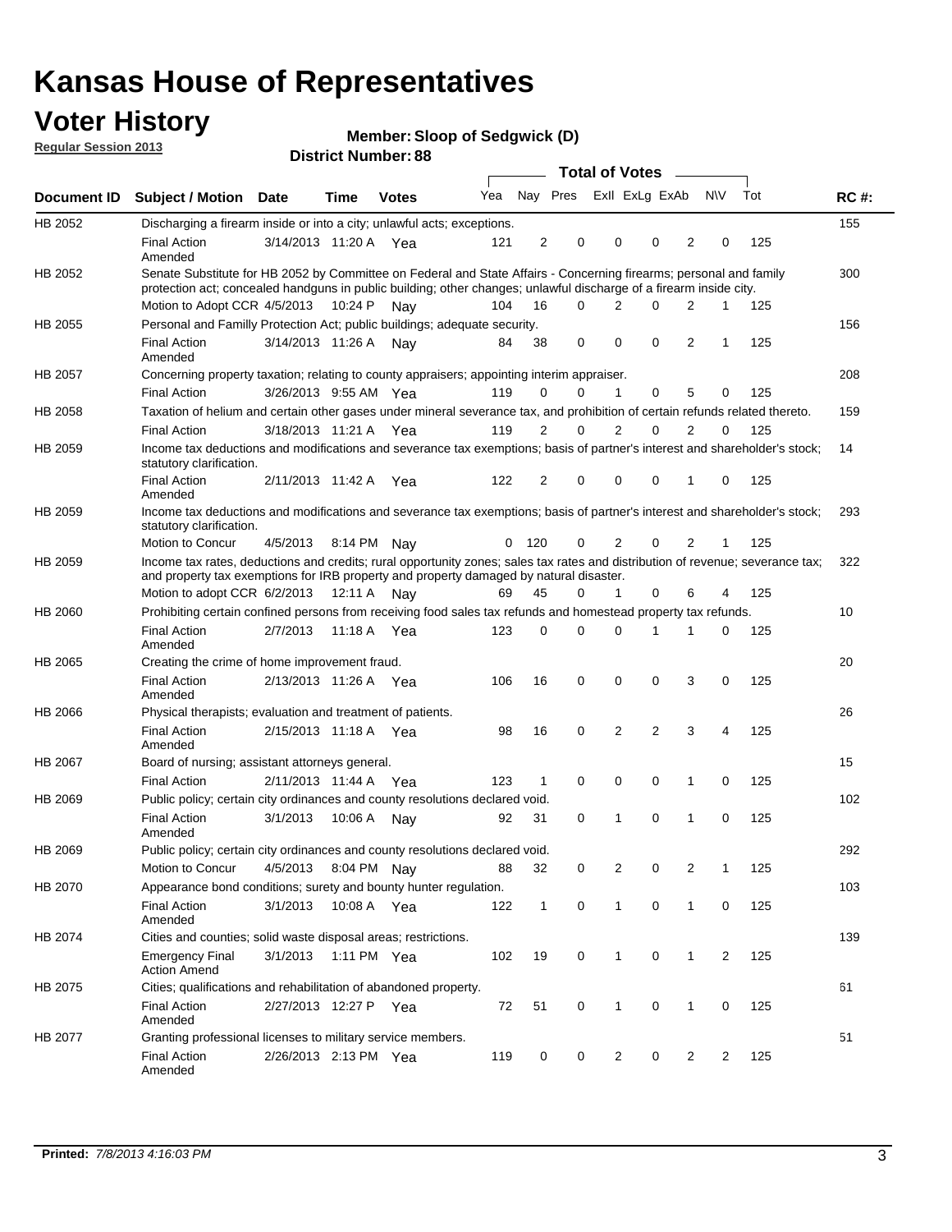## **Voter History**

**Member: Sloop of Sedgwick (D)** 

**Regular Session 2013**

|                |                                                                                                                                                                                                                                          |                       |             |              |     |                |                         | <b>Total of Votes</b> |                |             |                |                |     |             |
|----------------|------------------------------------------------------------------------------------------------------------------------------------------------------------------------------------------------------------------------------------------|-----------------------|-------------|--------------|-----|----------------|-------------------------|-----------------------|----------------|-------------|----------------|----------------|-----|-------------|
| Document ID    | <b>Subject / Motion Date</b>                                                                                                                                                                                                             |                       | Time        | <b>Votes</b> | Yea |                | Nay Pres Exll ExLg ExAb |                       |                |             |                | <b>NV</b>      | Tot | <b>RC#:</b> |
| HB 2052        | Discharging a firearm inside or into a city; unlawful acts; exceptions.                                                                                                                                                                  |                       |             |              |     |                |                         |                       |                |             |                |                |     | 155         |
|                | <b>Final Action</b><br>Amended                                                                                                                                                                                                           | 3/14/2013 11:20 A Yea |             |              | 121 | $\overline{2}$ | 0                       |                       | 0              | 0           | 2              | 0              | 125 |             |
| HB 2052        | Senate Substitute for HB 2052 by Committee on Federal and State Affairs - Concerning firearms; personal and family<br>protection act; concealed handguns in public building; other changes; unlawful discharge of a firearm inside city. |                       |             |              |     |                |                         |                       |                |             |                |                |     | 300         |
|                | Motion to Adopt CCR 4/5/2013 10:24 P                                                                                                                                                                                                     |                       |             | Nav          | 104 | 16             | 0                       |                       | 2              | 0           | 2              | $\mathbf 1$    | 125 |             |
| HB 2055        | Personal and Familly Protection Act; public buildings; adequate security.                                                                                                                                                                |                       |             |              |     |                |                         |                       |                |             |                |                |     | 156         |
|                | <b>Final Action</b><br>Amended                                                                                                                                                                                                           | 3/14/2013 11:26 A     |             | Nav          | 84  | 38             | 0                       |                       | 0              | $\Omega$    | $\overline{2}$ | $\mathbf{1}$   | 125 |             |
| HB 2057        | Concerning property taxation; relating to county appraisers; appointing interim appraiser.                                                                                                                                               |                       |             |              |     |                |                         |                       |                |             |                |                |     | 208         |
|                | <b>Final Action</b>                                                                                                                                                                                                                      | 3/26/2013 9:55 AM Yea |             |              | 119 | 0              | 0                       |                       | 1              | $\mathbf 0$ | 5              | 0              | 125 |             |
| HB 2058        | Taxation of helium and certain other gases under mineral severance tax, and prohibition of certain refunds related thereto.                                                                                                              |                       |             |              |     |                |                         |                       |                |             |                |                |     | 159         |
|                | <b>Final Action</b>                                                                                                                                                                                                                      | 3/18/2013 11:21 A Yea |             |              | 119 | $\overline{2}$ | $\Omega$                |                       | $\overline{2}$ | 0           | $\overline{2}$ | 0              | 125 |             |
| HB 2059        | Income tax deductions and modifications and severance tax exemptions; basis of partner's interest and shareholder's stock;<br>statutory clarification.                                                                                   |                       |             |              |     |                |                         |                       |                |             |                |                |     | 14          |
|                | <b>Final Action</b><br>Amended                                                                                                                                                                                                           | 2/11/2013 11:42 A Yea |             |              | 122 | $\overline{2}$ | 0                       |                       | 0              | 0           | 1              | 0              | 125 |             |
| HB 2059        | Income tax deductions and modifications and severance tax exemptions; basis of partner's interest and shareholder's stock;<br>statutory clarification.                                                                                   |                       |             |              |     |                |                         |                       |                |             |                |                |     | 293         |
|                | Motion to Concur                                                                                                                                                                                                                         | 4/5/2013              | 8:14 PM Nav |              | 0   | 120            | 0                       |                       | 2              | 0           | 2              | 1              | 125 |             |
| HB 2059        | Income tax rates, deductions and credits; rural opportunity zones; sales tax rates and distribution of revenue; severance tax;<br>and property tax exemptions for IRB property and property damaged by natural disaster.                 |                       |             |              |     |                |                         |                       |                |             |                |                |     | 322         |
|                | Motion to adopt CCR 6/2/2013                                                                                                                                                                                                             |                       | 12:11 A     | Nav          | 69  | 45             | 0                       |                       | 1              | 0           | 6              | 4              | 125 |             |
| <b>HB 2060</b> | Prohibiting certain confined persons from receiving food sales tax refunds and homestead property tax refunds.                                                                                                                           |                       |             |              |     |                |                         |                       |                |             |                |                |     | 10          |
|                | <b>Final Action</b><br>Amended                                                                                                                                                                                                           | 2/7/2013              | 11:18 A     | Yea          | 123 | 0              | $\Omega$                |                       | 0              | 1           | 1              | $\Omega$       | 125 |             |
| HB 2065        | Creating the crime of home improvement fraud.                                                                                                                                                                                            |                       |             |              |     |                |                         |                       |                |             |                |                |     | 20          |
|                | <b>Final Action</b><br>Amended                                                                                                                                                                                                           | 2/13/2013 11:26 A Yea |             |              | 106 | 16             | 0                       |                       | 0              | 0           | 3              | 0              | 125 |             |
| HB 2066        | Physical therapists; evaluation and treatment of patients.                                                                                                                                                                               |                       |             |              |     |                |                         |                       |                |             |                |                |     | 26          |
|                | <b>Final Action</b><br>Amended                                                                                                                                                                                                           | 2/15/2013 11:18 A Yea |             |              | 98  | 16             | $\mathbf 0$             |                       | 2              | 2           | 3              | 4              | 125 |             |
| <b>HB 2067</b> | Board of nursing; assistant attorneys general.                                                                                                                                                                                           |                       |             |              |     |                |                         |                       |                |             |                |                |     | 15          |
|                | <b>Final Action</b>                                                                                                                                                                                                                      | 2/11/2013 11:44 A Yea |             |              | 123 | $\mathbf{1}$   | 0                       |                       | 0              | 0           | 1              | 0              | 125 |             |
| HB 2069        | Public policy; certain city ordinances and county resolutions declared void.                                                                                                                                                             |                       |             |              |     |                |                         |                       |                |             |                |                |     | 102         |
|                | <b>Final Action</b><br>Amended                                                                                                                                                                                                           | 3/1/2013              | 10:06 A     | Nav          | 92  | 31             | 0                       |                       | 1              | 0           | 1              | 0              | 125 |             |
| HB 2069        | Public policy; certain city ordinances and county resolutions declared void.                                                                                                                                                             |                       |             |              |     |                |                         |                       |                |             |                |                |     | 292         |
|                | Motion to Concur                                                                                                                                                                                                                         | 4/5/2013              |             | 8:04 PM Nay  | 88  | 32             | 0                       |                       | $\overline{2}$ | 0           | $\overline{2}$ | $\mathbf{1}$   | 125 |             |
| HB 2070        | Appearance bond conditions; surety and bounty hunter regulation.                                                                                                                                                                         |                       |             |              |     |                |                         |                       |                |             |                |                |     | 103         |
|                | <b>Final Action</b><br>Amended                                                                                                                                                                                                           | 3/1/2013              |             | 10:08 A Yea  | 122 | $\mathbf{1}$   | 0                       |                       | 1              | 0           | $\mathbf{1}$   | 0              | 125 |             |
| HB 2074        | Cities and counties; solid waste disposal areas; restrictions.                                                                                                                                                                           |                       |             |              |     |                |                         |                       |                |             |                |                |     | 139         |
|                | <b>Emergency Final</b><br><b>Action Amend</b>                                                                                                                                                                                            | 3/1/2013              |             | 1:11 PM Yea  | 102 | 19             | 0                       |                       | $\mathbf{1}$   | 0           | $\mathbf{1}$   | $\overline{2}$ | 125 |             |
| HB 2075        | Cities; qualifications and rehabilitation of abandoned property.                                                                                                                                                                         |                       |             |              |     |                |                         |                       |                |             |                |                |     | 61          |
|                | <b>Final Action</b><br>Amended                                                                                                                                                                                                           | 2/27/2013 12:27 P Yea |             |              | 72  | 51             | 0                       |                       | 1              | 0           | 1              | 0              | 125 |             |
| HB 2077        | Granting professional licenses to military service members.<br><b>Final Action</b><br>Amended                                                                                                                                            | 2/26/2013 2:13 PM Yea |             |              | 119 | 0              | 0                       |                       | $\overline{2}$ | 0           | $\overline{2}$ | 2              | 125 | 51          |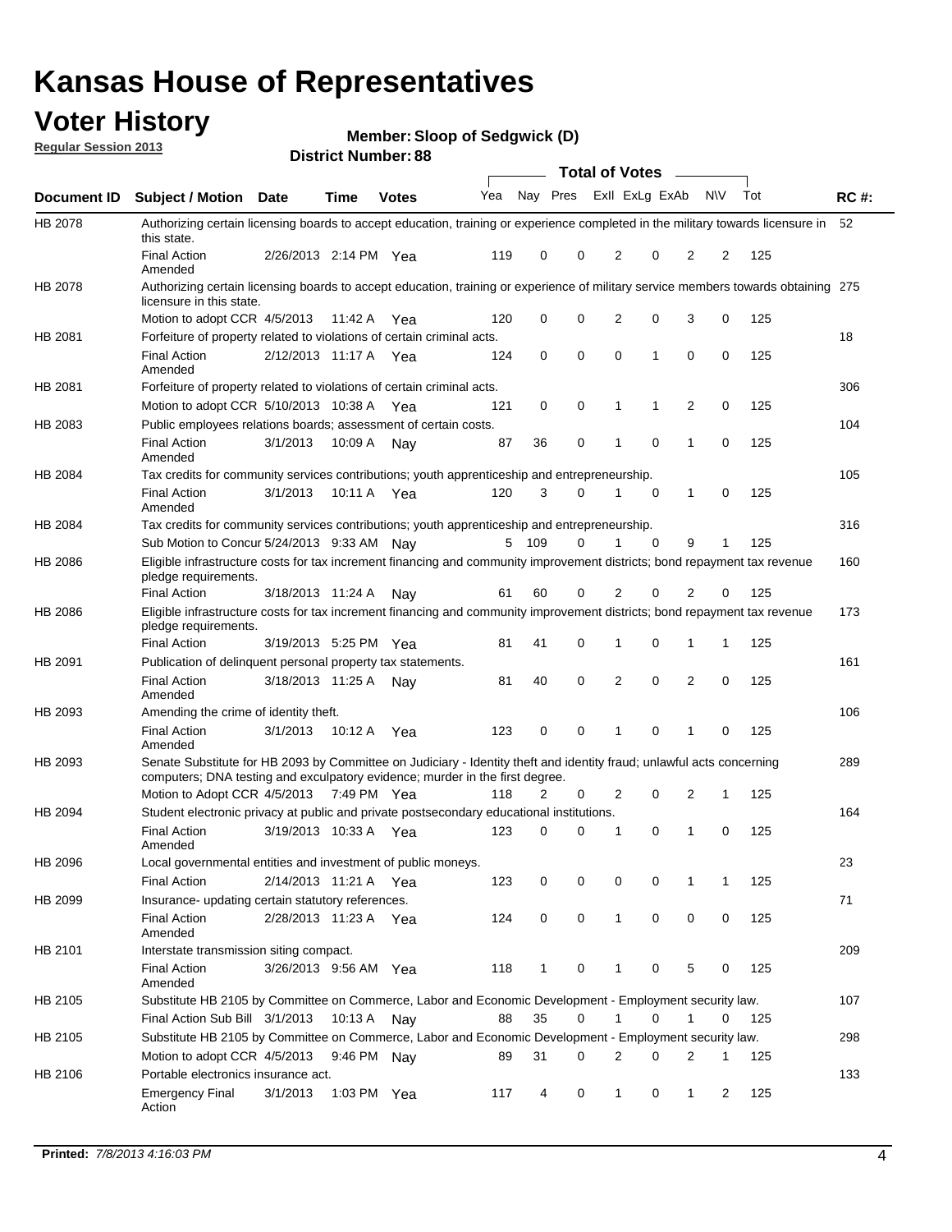## **Voter History**

**Member: Sloop of Sedgwick (D)** 

**Regular Session 2013**

|             |                                                                                                                                                                                                       |                       |             |              |     |                | <b>Total of Votes</b> |                |             | $\frac{1}{2}$ |           |     |             |
|-------------|-------------------------------------------------------------------------------------------------------------------------------------------------------------------------------------------------------|-----------------------|-------------|--------------|-----|----------------|-----------------------|----------------|-------------|---------------|-----------|-----|-------------|
| Document ID | <b>Subject / Motion Date</b>                                                                                                                                                                          |                       | Time        | <b>Votes</b> | Yea | Nay Pres       |                       | ExII ExLg ExAb |             |               | <b>NV</b> | Tot | <b>RC#:</b> |
| HB 2078     | Authorizing certain licensing boards to accept education, training or experience completed in the military towards licensure in<br>this state.                                                        |                       |             |              |     |                |                       |                |             |               |           |     | 52          |
|             | <b>Final Action</b><br>Amended                                                                                                                                                                        | 2/26/2013 2:14 PM Yea |             |              | 119 | 0              | 0                     | 2              | 0           | 2             | 2         | 125 |             |
| HB 2078     | Authorizing certain licensing boards to accept education, training or experience of military service members towards obtaining 275<br>licensure in this state.                                        |                       |             |              |     |                |                       |                |             |               |           |     |             |
|             | Motion to adopt CCR 4/5/2013                                                                                                                                                                          |                       | 11:42 A     | Yea          | 120 | $\mathbf 0$    | 0                     | 2              | 0           | 3             | 0         | 125 |             |
| HB 2081     | Forfeiture of property related to violations of certain criminal acts.                                                                                                                                |                       |             |              |     |                |                       |                |             |               |           |     | 18          |
|             | <b>Final Action</b><br>Amended                                                                                                                                                                        | 2/12/2013 11:17 A Yea |             |              | 124 | 0              | 0                     | 0              | 1           | 0             | 0         | 125 |             |
| HB 2081     | Forfeiture of property related to violations of certain criminal acts.                                                                                                                                |                       |             |              |     |                |                       |                |             |               |           |     | 306         |
|             | Motion to adopt CCR 5/10/2013 10:38 A                                                                                                                                                                 |                       |             | Yea          | 121 | 0              | 0                     | 1              | 1           | 2             | 0         | 125 |             |
| HB 2083     | Public employees relations boards; assessment of certain costs.                                                                                                                                       |                       |             |              |     |                |                       |                |             |               |           |     | 104         |
|             | <b>Final Action</b><br>Amended                                                                                                                                                                        | 3/1/2013              | 10:09 A     | Nav          | 87  | 36             | 0                     | 1              | 0           | 1             | 0         | 125 |             |
| HB 2084     | Tax credits for community services contributions; youth apprenticeship and entrepreneurship.                                                                                                          |                       |             |              |     |                |                       |                |             |               |           |     | 105         |
|             | <b>Final Action</b><br>Amended                                                                                                                                                                        | 3/1/2013              | 10:11 A     | Yea          | 120 | 3              | 0                     | 1              | $\mathbf 0$ | 1             | 0         | 125 |             |
| HB 2084     | Tax credits for community services contributions; youth apprenticeship and entrepreneurship.                                                                                                          |                       |             |              |     |                |                       |                |             |               |           |     | 316         |
|             | Sub Motion to Concur 5/24/2013 9:33 AM Nay                                                                                                                                                            |                       |             |              | 5   | 109            | 0                     | 1              | 0           | 9             | 1         | 125 |             |
| HB 2086     | Eligible infrastructure costs for tax increment financing and community improvement districts; bond repayment tax revenue<br>pledge requirements.                                                     |                       |             |              |     |                |                       |                |             |               |           |     | 160         |
|             | <b>Final Action</b>                                                                                                                                                                                   | 3/18/2013 11:24 A     |             | Nav          | 61  | 60             | $\Omega$              | 2              | 0           | 2             | 0         | 125 |             |
| HB 2086     | Eligible infrastructure costs for tax increment financing and community improvement districts; bond repayment tax revenue<br>pledge requirements.                                                     |                       |             |              |     |                |                       |                |             |               |           |     | 173         |
|             | <b>Final Action</b>                                                                                                                                                                                   | 3/19/2013 5:25 PM Yea |             |              | 81  | 41             | 0                     | 1              | 0           | 1             | 1         | 125 |             |
| HB 2091     | Publication of delinquent personal property tax statements.                                                                                                                                           |                       |             |              |     |                |                       |                |             |               |           |     | 161         |
|             | <b>Final Action</b><br>Amended                                                                                                                                                                        | 3/18/2013 11:25 A     |             | Nav          | 81  | 40             | 0                     | $\overline{2}$ | $\mathbf 0$ | 2             | 0         | 125 |             |
| HB 2093     | Amending the crime of identity theft.                                                                                                                                                                 |                       |             |              |     |                |                       |                |             |               |           |     | 106         |
|             | <b>Final Action</b><br>Amended                                                                                                                                                                        | 3/1/2013              | 10:12 A     | Yea          | 123 | 0              | 0                     | 1              | $\Omega$    | 1             | 0         | 125 |             |
| HB 2093     | Senate Substitute for HB 2093 by Committee on Judiciary - Identity theft and identity fraud; unlawful acts concerning<br>computers; DNA testing and exculpatory evidence; murder in the first degree. |                       |             |              |     |                |                       |                |             |               |           |     | 289         |
|             | Motion to Adopt CCR 4/5/2013 7:49 PM Yea                                                                                                                                                              |                       |             |              | 118 | $\overline{2}$ | 0                     | 2              | 0           | 2             | 1         | 125 |             |
| HB 2094     | Student electronic privacy at public and private postsecondary educational institutions.                                                                                                              |                       |             |              |     |                |                       |                |             |               |           |     | 164         |
|             | <b>Final Action</b><br>Amended                                                                                                                                                                        | 3/19/2013 10:33 A     |             | Yea          | 123 | 0              | 0                     | 1              | 0           | 1             | 0         | 125 |             |
| HB 2096     | Local governmental entities and investment of public moneys.                                                                                                                                          |                       |             |              |     |                |                       |                |             |               |           |     | 23          |
|             | <b>Final Action</b>                                                                                                                                                                                   | 2/14/2013 11:21 A Yea |             |              | 123 | 0              | 0                     | 0              | 0           | 1             | 1         | 125 |             |
| HB 2099     | Insurance- updating certain statutory references.                                                                                                                                                     |                       |             |              |     |                |                       |                |             |               |           |     | 71          |
|             | <b>Final Action</b><br>Amended                                                                                                                                                                        | 2/28/2013 11:23 A Yea |             |              | 124 | 0              | 0                     | $\mathbf{1}$   | $\mathbf 0$ | $\mathbf 0$   | 0         | 125 |             |
| HB 2101     | Interstate transmission siting compact.                                                                                                                                                               |                       |             |              |     |                |                       |                |             |               |           |     | 209         |
|             | Final Action<br>Amended                                                                                                                                                                               | 3/26/2013 9:56 AM Yea |             |              | 118 | 1              | 0                     | 1              | 0           | 5             | 0         | 125 |             |
| HB 2105     | Substitute HB 2105 by Committee on Commerce, Labor and Economic Development - Employment security law.                                                                                                |                       |             |              |     |                |                       |                |             |               |           |     | 107         |
|             | Final Action Sub Bill 3/1/2013 10:13 A Nay                                                                                                                                                            |                       |             |              | 88  | 35             | 0                     | 1              | $\Omega$    | 1             | $\Omega$  | 125 |             |
| HB 2105     | Substitute HB 2105 by Committee on Commerce, Labor and Economic Development - Employment security law.                                                                                                |                       |             |              |     |                |                       |                |             |               |           |     | 298         |
|             | Motion to adopt CCR 4/5/2013 9:46 PM Nay                                                                                                                                                              |                       |             |              | 89  | 31             | 0                     | 2              | 0           | 2             | 1         | 125 |             |
| HB 2106     | Portable electronics insurance act.                                                                                                                                                                   |                       |             |              |     |                |                       |                |             |               |           |     | 133         |
|             | <b>Emergency Final</b><br>Action                                                                                                                                                                      | 3/1/2013              | 1:03 PM Yea |              | 117 | 4              | 0                     | $\mathbf{1}$   | 0           | 1             | 2         | 125 |             |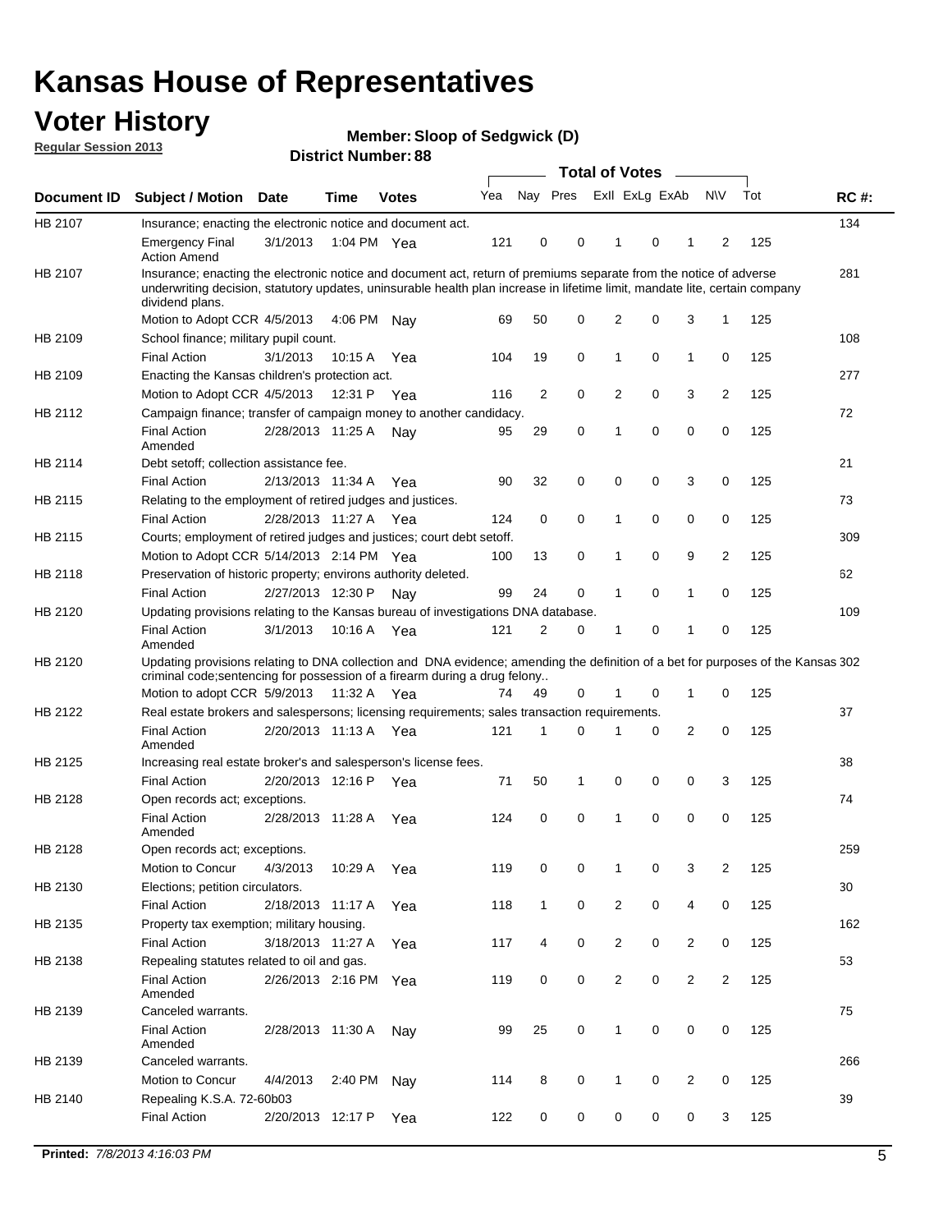## **Voter History**

**Member: Sloop of Sedgwick (D)** 

**Regular Session 2013**

|             |                                                                                                                                                                                                                                                                      |                       |             |              |     |              | <b>Total of Votes</b> |                |   | $\overline{\phantom{0}}$ |           |     |     |
|-------------|----------------------------------------------------------------------------------------------------------------------------------------------------------------------------------------------------------------------------------------------------------------------|-----------------------|-------------|--------------|-----|--------------|-----------------------|----------------|---|--------------------------|-----------|-----|-----|
| Document ID | Subject / Motion Date                                                                                                                                                                                                                                                |                       | Time        | <b>Votes</b> | Yea | Nay Pres     |                       | Exll ExLg ExAb |   |                          | <b>NV</b> | Tot | RC# |
| HB 2107     | Insurance; enacting the electronic notice and document act.                                                                                                                                                                                                          |                       |             |              |     |              |                       |                |   |                          |           |     | 134 |
|             | <b>Emergency Final</b><br><b>Action Amend</b>                                                                                                                                                                                                                        | 3/1/2013              | 1:04 PM Yea |              | 121 | 0            | 0                     | 1              | 0 | 1                        | 2         | 125 |     |
| HB 2107     | Insurance; enacting the electronic notice and document act, return of premiums separate from the notice of adverse<br>underwriting decision, statutory updates, uninsurable health plan increase in lifetime limit, mandate lite, certain company<br>dividend plans. |                       |             |              |     |              |                       |                |   |                          |           |     | 281 |
|             | Motion to Adopt CCR 4/5/2013                                                                                                                                                                                                                                         |                       | 4:06 PM     | Nav          | 69  | 50           | 0                     | 2              | 0 | 3                        | 1         | 125 |     |
| HB 2109     | School finance; military pupil count.                                                                                                                                                                                                                                |                       |             |              |     |              |                       |                |   |                          |           |     | 108 |
|             | <b>Final Action</b>                                                                                                                                                                                                                                                  | 3/1/2013              | 10:15 A     | Yea          | 104 | 19           | 0                     | 1              | 0 | $\mathbf{1}$             | 0         | 125 |     |
| HB 2109     | Enacting the Kansas children's protection act.                                                                                                                                                                                                                       |                       |             |              |     |              |                       |                |   |                          |           |     | 277 |
|             | Motion to Adopt CCR 4/5/2013                                                                                                                                                                                                                                         |                       | 12:31 P Yea |              | 116 | 2            | 0                     | 2              | 0 | 3                        | 2         | 125 |     |
| HB 2112     | Campaign finance; transfer of campaign money to another candidacy.                                                                                                                                                                                                   |                       |             |              |     |              |                       |                |   |                          |           |     | 72  |
|             | <b>Final Action</b><br>Amended                                                                                                                                                                                                                                       | 2/28/2013 11:25 A     |             | Nay          | 95  | 29           | 0                     | 1              | 0 | 0                        | 0         | 125 |     |
| HB 2114     | Debt setoff; collection assistance fee.                                                                                                                                                                                                                              |                       |             |              |     |              |                       |                |   |                          |           |     | 21  |
|             | <b>Final Action</b>                                                                                                                                                                                                                                                  | 2/13/2013 11:34 A     |             | Yea          | 90  | 32           | 0                     | 0              | 0 | 3                        | 0         | 125 |     |
| HB 2115     | Relating to the employment of retired judges and justices.                                                                                                                                                                                                           |                       |             |              |     |              |                       |                |   |                          |           |     | 73  |
|             | <b>Final Action</b>                                                                                                                                                                                                                                                  | 2/28/2013 11:27 A Yea |             |              | 124 | 0            | 0                     | 1              | 0 | 0                        | 0         | 125 |     |
| HB 2115     | Courts; employment of retired judges and justices; court debt setoff.                                                                                                                                                                                                |                       |             |              |     |              |                       |                |   |                          |           |     | 309 |
|             | Motion to Adopt CCR 5/14/2013 2:14 PM Yea                                                                                                                                                                                                                            |                       |             |              | 100 | 13           | 0                     | 1              | 0 | 9                        | 2         | 125 |     |
| HB 2118     | Preservation of historic property; environs authority deleted.                                                                                                                                                                                                       |                       |             |              |     |              |                       |                |   |                          |           |     | 62  |
|             | <b>Final Action</b>                                                                                                                                                                                                                                                  | 2/27/2013 12:30 P     |             | Nav          | 99  | 24           | 0                     | 1              | 0 | 1                        | 0         | 125 |     |
| HB 2120     | Updating provisions relating to the Kansas bureau of investigations DNA database.                                                                                                                                                                                    |                       |             |              |     |              |                       |                |   |                          |           |     | 109 |
|             | <b>Final Action</b><br>Amended                                                                                                                                                                                                                                       | 3/1/2013              | 10:16 A     | Yea          | 121 | 2            | 0                     | 1              | 0 | 1                        | 0         | 125 |     |
| HB 2120     | Updating provisions relating to DNA collection and DNA evidence; amending the definition of a bet for purposes of the Kansas 302                                                                                                                                     |                       |             |              |     |              |                       |                |   |                          |           |     |     |
|             | criminal code; sentencing for possession of a firearm during a drug felony<br>Motion to adopt CCR 5/9/2013 11:32 A Yea                                                                                                                                               |                       |             |              | 74  | 49           | 0                     |                | 0 | 1                        | 0         | 125 |     |
| HB 2122     | Real estate brokers and salespersons; licensing requirements; sales transaction requirements.                                                                                                                                                                        |                       |             |              |     |              |                       |                |   |                          |           |     | 37  |
|             | <b>Final Action</b><br>Amended                                                                                                                                                                                                                                       | 2/20/2013 11:13 A Yea |             |              | 121 | 1            | 0                     |                | 0 | $\overline{2}$           | 0         | 125 |     |
| HB 2125     | Increasing real estate broker's and salesperson's license fees.                                                                                                                                                                                                      |                       |             |              |     |              |                       |                |   |                          |           |     | 38  |
|             | <b>Final Action</b>                                                                                                                                                                                                                                                  | 2/20/2013 12:16 P     |             | Yea          | 71  | 50           | 1                     | 0              | 0 | 0                        | 3         | 125 |     |
| HB 2128     | Open records act; exceptions.                                                                                                                                                                                                                                        |                       |             |              |     |              |                       |                |   |                          |           |     | 74  |
|             | <b>Final Action</b><br>Amended                                                                                                                                                                                                                                       | 2/28/2013 11:28 A     |             | Yea          | 124 | 0            | 0                     |                | 0 | 0                        | 0         | 125 |     |
| HB 2128     | Open records act; exceptions.                                                                                                                                                                                                                                        |                       |             |              |     |              |                       |                |   |                          |           |     | 259 |
|             | Motion to Concur                                                                                                                                                                                                                                                     | 4/3/2013              | 10:29 A     | Yea          | 119 | 0            | 0                     | 1              | 0 | 3                        | 2         | 125 |     |
| HB 2130     | Elections; petition circulators.                                                                                                                                                                                                                                     |                       |             |              |     |              |                       |                |   |                          |           |     | 30  |
|             | <b>Final Action</b>                                                                                                                                                                                                                                                  | 2/18/2013 11:17 A     |             | Yea          | 118 | $\mathbf{1}$ | 0                     | $\overline{2}$ | 0 | 4                        | 0         | 125 |     |
| HB 2135     | Property tax exemption; military housing.                                                                                                                                                                                                                            |                       |             |              |     |              |                       |                |   |                          |           |     | 162 |
|             | <b>Final Action</b>                                                                                                                                                                                                                                                  | 3/18/2013 11:27 A     |             | Yea          | 117 | 4            | 0                     | $\overline{c}$ | 0 | 2                        | 0         | 125 |     |
| HB 2138     | Repealing statutes related to oil and gas.                                                                                                                                                                                                                           |                       |             |              |     |              |                       |                |   |                          |           |     | 53  |
|             | <b>Final Action</b><br>Amended                                                                                                                                                                                                                                       | 2/26/2013 2:16 PM Yea |             |              | 119 | 0            | 0                     | $\overline{c}$ | 0 | $\overline{2}$           | 2         | 125 |     |
| HB 2139     | Canceled warrants.                                                                                                                                                                                                                                                   |                       |             |              |     |              |                       |                |   |                          |           |     | 75  |
|             | <b>Final Action</b><br>Amended                                                                                                                                                                                                                                       | 2/28/2013 11:30 A     |             | Nay          | 99  | 25           | 0                     | 1              | 0 | 0                        | 0         | 125 |     |
| HB 2139     | Canceled warrants.                                                                                                                                                                                                                                                   |                       |             |              |     |              |                       |                |   |                          |           |     | 266 |
|             | Motion to Concur                                                                                                                                                                                                                                                     | 4/4/2013              | 2:40 PM     | Nay          | 114 | 8            | 0                     | 1              | 0 | 2                        | 0         | 125 |     |
| HB 2140     | Repealing K.S.A. 72-60b03                                                                                                                                                                                                                                            |                       |             |              |     |              |                       |                |   |                          |           |     | 39  |
|             | <b>Final Action</b>                                                                                                                                                                                                                                                  | 2/20/2013 12:17 P     |             | Yea          | 122 | 0            | 0                     | 0              | 0 | 0                        | 3         | 125 |     |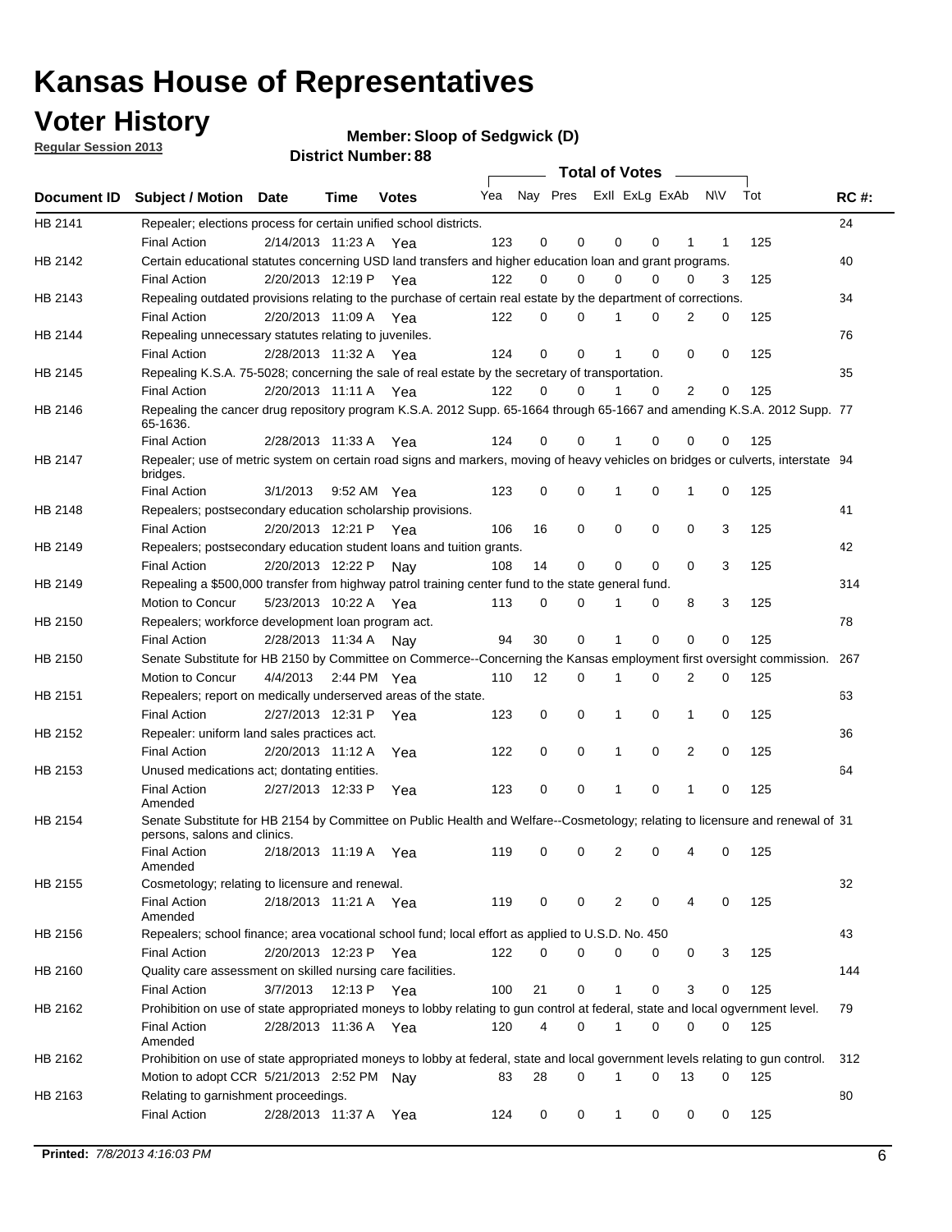## **Voter History**

**Member: Sloop of Sedgwick (D)** 

**Regular Session 2013**

|         |                                                                                                                                              |          |                       |              |                             |    | <b>Total of Votes</b> |              |          | $\sim$      |     |     |             |
|---------|----------------------------------------------------------------------------------------------------------------------------------------------|----------|-----------------------|--------------|-----------------------------|----|-----------------------|--------------|----------|-------------|-----|-----|-------------|
|         | Document ID Subject / Motion Date                                                                                                            |          | Time                  | <b>Votes</b> | Yea Nay Pres ExII ExLg ExAb |    |                       |              |          |             | N\V | Tot | <b>RC#:</b> |
| HB 2141 | Repealer; elections process for certain unified school districts.                                                                            |          |                       |              |                             |    |                       |              |          |             |     |     | 24          |
|         | <b>Final Action</b>                                                                                                                          |          | 2/14/2013 11:23 A     | Yea          | 123                         | 0  | 0                     | 0            | 0        | 1           | 1   | 125 |             |
| HB 2142 | Certain educational statutes concerning USD land transfers and higher education loan and grant programs.                                     |          |                       |              |                             |    |                       |              |          |             |     |     | 40          |
|         | <b>Final Action</b>                                                                                                                          |          | 2/20/2013 12:19 P     | Yea          | 122                         | 0  | 0                     | 0            | 0        | 0           | 3   | 125 |             |
| HB 2143 | Repealing outdated provisions relating to the purchase of certain real estate by the department of corrections.                              |          |                       |              |                             |    |                       |              |          |             |     |     | 34          |
|         | <b>Final Action</b>                                                                                                                          |          | 2/20/2013 11:09 A Yea |              | 122                         | 0  | 0                     |              | 0        | 2           | 0   | 125 |             |
| HB 2144 | Repealing unnecessary statutes relating to juveniles.                                                                                        |          |                       |              |                             |    |                       |              |          |             |     |     | 76          |
|         | <b>Final Action</b>                                                                                                                          |          | 2/28/2013 11:32 A Yea |              | 124                         | 0  | 0                     |              | 0        | 0           | 0   | 125 |             |
| HB 2145 | Repealing K.S.A. 75-5028; concerning the sale of real estate by the secretary of transportation.                                             |          |                       |              |                             |    |                       |              |          |             |     |     | 35          |
|         | <b>Final Action</b>                                                                                                                          |          | 2/20/2013 11:11 A Yea |              | 122                         | 0  | 0                     |              | 0        | 2           | 0   | 125 |             |
| HB 2146 | Repealing the cancer drug repository program K.S.A. 2012 Supp. 65-1664 through 65-1667 and amending K.S.A. 2012 Supp. 77<br>65-1636.         |          |                       |              |                             |    |                       |              |          |             |     |     |             |
|         | <b>Final Action</b>                                                                                                                          |          | 2/28/2013 11:33 A     | Yea          | 124                         | 0  | 0                     |              | 0        | 0           | 0   | 125 |             |
| HB 2147 | Repealer; use of metric system on certain road signs and markers, moving of heavy vehicles on bridges or culverts, interstate 94<br>bridges. |          |                       |              |                             |    |                       |              |          |             |     |     |             |
|         | <b>Final Action</b>                                                                                                                          | 3/1/2013 |                       | 9:52 AM Yea  | 123                         | 0  | 0                     | 1            | 0        | 1           | 0   | 125 |             |
| HB 2148 | Repealers; postsecondary education scholarship provisions.                                                                                   |          |                       |              |                             |    |                       |              |          |             |     |     | 41          |
|         | <b>Final Action</b>                                                                                                                          |          | 2/20/2013 12:21 P     | Yea          | 106                         | 16 | 0                     | 0            | 0        | 0           | 3   | 125 |             |
| HB 2149 | Repealers; postsecondary education student loans and tuition grants.                                                                         |          |                       |              |                             |    |                       |              |          |             |     |     | 42          |
|         | <b>Final Action</b>                                                                                                                          |          | 2/20/2013 12:22 P     | Nav          | 108                         | 14 | 0                     | 0            | 0        | $\Omega$    | 3   | 125 |             |
| HB 2149 | Repealing a \$500,000 transfer from highway patrol training center fund to the state general fund.                                           |          |                       |              |                             |    |                       |              |          |             |     |     | 314         |
|         | Motion to Concur                                                                                                                             |          | 5/23/2013 10:22 A Yea |              | 113                         | 0  | 0                     |              | 0        | 8           | 3   | 125 |             |
| HB 2150 | Repealers; workforce development loan program act.                                                                                           |          |                       |              |                             |    |                       |              |          |             |     |     | 78          |
|         | <b>Final Action</b>                                                                                                                          |          | 2/28/2013 11:34 A     | Nay          | 94                          | 30 | 0                     | 1            | 0        | $\mathbf 0$ | 0   | 125 |             |
| HB 2150 | Senate Substitute for HB 2150 by Committee on Commerce--Concerning the Kansas employment first oversight commission.                         |          |                       |              |                             |    |                       |              |          |             |     |     | 267         |
|         | Motion to Concur                                                                                                                             | 4/4/2013 |                       | 2:44 PM Yea  | 110                         | 12 | 0                     | 1            | 0        | 2           | 0   | 125 |             |
| HB 2151 | Repealers; report on medically underserved areas of the state.                                                                               |          |                       |              |                             |    |                       |              |          |             |     |     | 63          |
|         | <b>Final Action</b>                                                                                                                          |          | 2/27/2013 12:31 P     | Yea          | 123                         | 0  | 0                     | 1            | 0        | 1           | 0   | 125 |             |
| HB 2152 | Repealer: uniform land sales practices act.                                                                                                  |          |                       |              |                             |    |                       |              |          |             |     |     | 36          |
|         | <b>Final Action</b>                                                                                                                          |          | 2/20/2013 11:12 A     | Yea          | 122                         | 0  | 0                     | 1            | 0        | 2           | 0   | 125 |             |
| HB 2153 | Unused medications act; dontating entities.                                                                                                  |          |                       |              |                             |    |                       |              |          |             |     |     | 64          |
|         | <b>Final Action</b><br>Amended                                                                                                               |          | 2/27/2013 12:33 P     | Yea          | 123                         | 0  | 0                     |              | 0        | 1           | 0   | 125 |             |
| HB 2154 | Senate Substitute for HB 2154 by Committee on Public Health and Welfare--Cosmetology; relating to licensure and renewal of 31                |          |                       |              |                             |    |                       |              |          |             |     |     |             |
|         | persons, salons and clinics.<br><b>Final Action</b>                                                                                          |          | 2/18/2013 11:19 A     | Yea          | 119                         | 0  | 0                     | 2            | 0        | 4           | 0   | 125 |             |
|         | Amended                                                                                                                                      |          |                       |              |                             |    |                       |              |          |             |     |     |             |
| HB 2155 | Cosmetology; relating to licensure and renewal.                                                                                              |          |                       |              |                             |    |                       |              |          |             |     |     | 32          |
|         | <b>Final Action</b><br>Amended                                                                                                               |          | 2/18/2013 11:21 A Yea |              | 119                         | 0  | 0                     | 2            | 0        | 4           | 0   | 125 |             |
| HB 2156 | Repealers; school finance; area vocational school fund; local effort as applied to U.S.D. No. 450                                            |          |                       |              |                             |    |                       |              |          |             |     |     | 43          |
|         | <b>Final Action</b>                                                                                                                          |          | 2/20/2013 12:23 P     | Yea          | 122                         | 0  | 0                     | 0            | 0        | 0           | 3   | 125 |             |
| HB 2160 | Quality care assessment on skilled nursing care facilities.                                                                                  |          |                       |              |                             |    |                       |              |          |             |     |     | 144         |
|         | <b>Final Action</b>                                                                                                                          | 3/7/2013 | 12:13 P               | Yea          | 100                         | 21 | 0                     | $\mathbf{1}$ | 0        | 3           | 0   | 125 |             |
| HB 2162 | Prohibition on use of state appropriated moneys to lobby relating to gun control at federal, state and local ogvernment level.               |          |                       |              |                             |    |                       |              |          |             |     |     | 79          |
|         | <b>Final Action</b>                                                                                                                          |          | 2/28/2013 11:36 A Yea |              | 120                         | 4  | 0                     | 1            | 0        | 0           | 0   | 125 |             |
|         | Amended                                                                                                                                      |          |                       |              |                             |    |                       |              |          |             |     |     |             |
| HB 2162 | Prohibition on use of state appropriated moneys to lobby at federal, state and local government levels relating to gun control.              |          |                       |              |                             |    |                       |              |          |             |     |     | 312         |
|         | Motion to adopt CCR 5/21/2013 2:52 PM Nay                                                                                                    |          |                       |              | 83                          | 28 | 0                     | 1            | $\Omega$ | 13          | 0   | 125 |             |
| HB 2163 | Relating to garnishment proceedings.                                                                                                         |          |                       |              |                             |    |                       |              |          |             |     |     | 80          |
|         | <b>Final Action</b>                                                                                                                          |          | 2/28/2013 11:37 A Yea |              | 124                         | 0  | 0                     | $\mathbf{1}$ | 0        | 0           | 0   | 125 |             |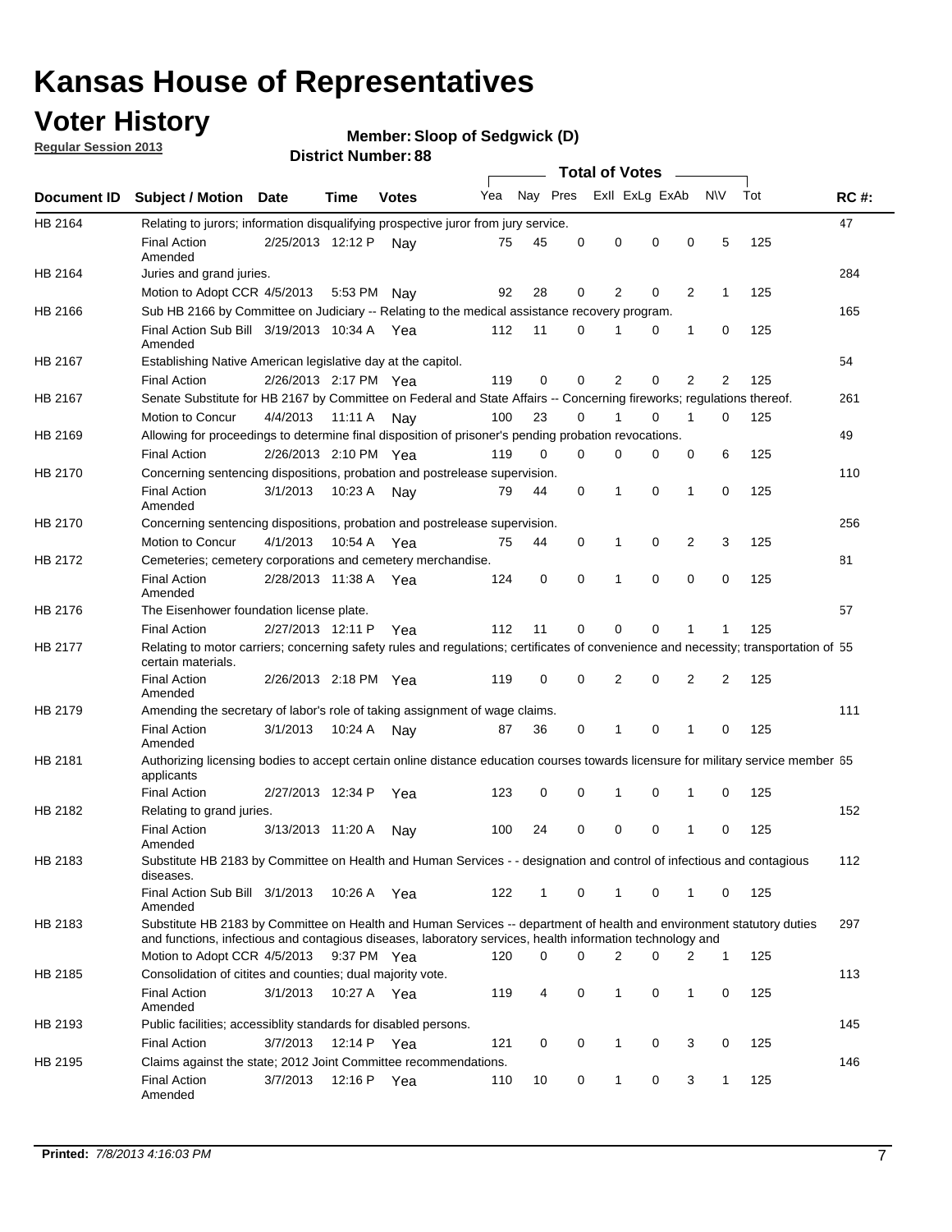## **Voter History**

**Member: Sloop of Sedgwick (D)** 

**Regular Session 2013**

|             |                                                                                                                                                                                                                                    |                       |             |              |     |             |          | <b>Total of Votes</b> |          | $\sim$         |            |     |             |
|-------------|------------------------------------------------------------------------------------------------------------------------------------------------------------------------------------------------------------------------------------|-----------------------|-------------|--------------|-----|-------------|----------|-----------------------|----------|----------------|------------|-----|-------------|
| Document ID | <b>Subject / Motion Date</b>                                                                                                                                                                                                       |                       | <b>Time</b> | <b>Votes</b> | Yea | Nay Pres    |          | Exll ExLg ExAb        |          |                | <b>N\V</b> | Tot | <b>RC#:</b> |
| HB 2164     | Relating to jurors; information disqualifying prospective juror from jury service.                                                                                                                                                 |                       |             |              |     |             |          |                       |          |                |            |     | 47          |
|             | <b>Final Action</b>                                                                                                                                                                                                                | 2/25/2013 12:12 P     |             | Nav          | 75  | 45          | 0        | 0                     | 0        | 0              | 5          | 125 |             |
| HB 2164     | Amended                                                                                                                                                                                                                            |                       |             |              |     |             |          |                       |          |                |            |     | 284         |
|             | Juries and grand juries.<br>Motion to Adopt CCR 4/5/2013                                                                                                                                                                           |                       | 5:53 PM Nay |              | 92  | 28          | 0        | $\overline{2}$        | 0        | $\overline{2}$ | 1          | 125 |             |
| HB 2166     | Sub HB 2166 by Committee on Judiciary -- Relating to the medical assistance recovery program.                                                                                                                                      |                       |             |              |     |             |          |                       |          |                |            |     | 165         |
|             | Final Action Sub Bill 3/19/2013 10:34 A Yea                                                                                                                                                                                        |                       |             |              | 112 | 11          | 0        |                       | 0        | 1              | 0          | 125 |             |
|             | Amended                                                                                                                                                                                                                            |                       |             |              |     |             |          |                       |          |                |            |     |             |
| HB 2167     | Establishing Native American legislative day at the capitol.                                                                                                                                                                       |                       |             |              |     |             |          |                       |          |                |            |     | 54          |
|             | <b>Final Action</b>                                                                                                                                                                                                                | 2/26/2013 2:17 PM Yea |             |              | 119 | 0           | 0        | $\overline{2}$        | 0        | $\overline{2}$ | 2          | 125 |             |
| HB 2167     | Senate Substitute for HB 2167 by Committee on Federal and State Affairs -- Concerning fireworks; regulations thereof.                                                                                                              |                       |             |              |     |             |          |                       |          |                |            |     | 261         |
|             | Motion to Concur                                                                                                                                                                                                                   | 4/4/2013              | 11:11 A     | Nav          | 100 | 23          | 0        |                       | 0        | 1              | 0          | 125 |             |
| HB 2169     | Allowing for proceedings to determine final disposition of prisoner's pending probation revocations.                                                                                                                               |                       |             |              |     |             |          |                       |          |                |            |     | 49          |
|             | <b>Final Action</b>                                                                                                                                                                                                                | 2/26/2013 2:10 PM Yea |             |              | 119 | 0           | 0        | 0                     | 0        | 0              | 6          | 125 |             |
| HB 2170     | Concerning sentencing dispositions, probation and postrelease supervision.                                                                                                                                                         |                       |             |              |     |             |          |                       |          |                |            |     | 110         |
|             | <b>Final Action</b><br>Amended                                                                                                                                                                                                     | 3/1/2013              | 10:23 A     | Nay          | 79  | 44          | 0        | 1                     | 0        | 1              | 0          | 125 |             |
| HB 2170     | Concerning sentencing dispositions, probation and postrelease supervision.                                                                                                                                                         |                       |             |              |     |             |          |                       |          |                |            |     | 256         |
|             | Motion to Concur                                                                                                                                                                                                                   | 4/1/2013              | 10:54 A     | Yea          | 75  | 44          | 0        | 1                     | 0        | 2              | 3          | 125 |             |
| HB 2172     | Cemeteries; cemetery corporations and cemetery merchandise.                                                                                                                                                                        |                       |             |              |     |             |          |                       |          |                |            |     | 81          |
|             | <b>Final Action</b><br>Amended                                                                                                                                                                                                     | 2/28/2013 11:38 A Yea |             |              | 124 | $\mathbf 0$ | $\Omega$ |                       | $\Omega$ | $\Omega$       | 0          | 125 |             |
| HB 2176     | The Eisenhower foundation license plate.                                                                                                                                                                                           |                       |             |              |     |             |          |                       |          |                |            |     | 57          |
|             | <b>Final Action</b>                                                                                                                                                                                                                | 2/27/2013 12:11 P     |             | Yea          | 112 | 11          | 0        | 0                     | 0        |                | 1          | 125 |             |
| HB 2177     | Relating to motor carriers; concerning safety rules and regulations; certificates of convenience and necessity; transportation of 55<br>certain materials.                                                                         |                       |             |              |     |             |          |                       |          |                |            |     |             |
|             | <b>Final Action</b><br>Amended                                                                                                                                                                                                     | 2/26/2013 2:18 PM Yea |             |              | 119 | 0           | 0        | 2                     | 0        | 2              | 2          | 125 |             |
| HB 2179     | Amending the secretary of labor's role of taking assignment of wage claims.                                                                                                                                                        |                       |             |              |     |             |          |                       |          |                |            |     | 111         |
|             | <b>Final Action</b><br>Amended                                                                                                                                                                                                     | 3/1/2013              | 10:24 A     | Nav          | 87  | 36          | 0        | 1                     | 0        | 1              | 0          | 125 |             |
| HB 2181     | Authorizing licensing bodies to accept certain online distance education courses towards licensure for military service member 55<br>applicants                                                                                    |                       |             |              |     |             |          |                       |          |                |            |     |             |
|             | <b>Final Action</b>                                                                                                                                                                                                                | 2/27/2013 12:34 P     |             | Yea          | 123 | 0           | 0        | 1                     | 0        | 1              | 0          | 125 |             |
| HB 2182     | Relating to grand juries.                                                                                                                                                                                                          |                       |             |              |     |             |          |                       |          |                |            |     | 152         |
|             | <b>Final Action</b><br>Amended                                                                                                                                                                                                     | 3/13/2013 11:20 A     |             | Nav          | 100 | 24          | 0        | 0                     | 0        | 1              | 0          | 125 |             |
| HB 2183     | Substitute HB 2183 by Committee on Health and Human Services - - designation and control of infectious and contagious<br>diseases.                                                                                                 |                       |             |              |     |             |          |                       |          |                |            |     | 112         |
|             | Final Action Sub Bill 3/1/2013<br>Amended                                                                                                                                                                                          |                       | 10:26 A Yea |              | 122 | 1           | 0        | $\mathbf{1}$          | 0        | 1              | 0          | 125 |             |
| HB 2183     | Substitute HB 2183 by Committee on Health and Human Services -- department of health and environment statutory duties<br>and functions, infectious and contagious diseases, laboratory services, health information technology and |                       |             |              |     |             |          |                       |          |                |            |     | 297         |
|             | Motion to Adopt CCR 4/5/2013                                                                                                                                                                                                       |                       | 9:37 PM Yea |              | 120 | 0           | 0        | 2                     | 0        | 2              | 1          | 125 |             |
| HB 2185     | Consolidation of citites and counties; dual majority vote.                                                                                                                                                                         |                       |             |              |     |             |          |                       |          |                |            |     | 113         |
|             | <b>Final Action</b><br>Amended                                                                                                                                                                                                     | 3/1/2013              | 10:27 A Yea |              | 119 | 4           | 0        | 1                     | 0        | $\mathbf{1}$   | 0          | 125 |             |
| HB 2193     | Public facilities; accessiblity standards for disabled persons.                                                                                                                                                                    |                       |             |              |     |             |          |                       |          |                |            |     | 145         |
|             | <b>Final Action</b>                                                                                                                                                                                                                | 3/7/2013              | 12:14 P     | Yea          | 121 | 0           | 0        | 1                     | 0        | 3              | 0          | 125 |             |
| HB 2195     | Claims against the state; 2012 Joint Committee recommendations.                                                                                                                                                                    |                       |             |              |     |             |          |                       |          |                |            |     | 146         |
|             | <b>Final Action</b><br>Amended                                                                                                                                                                                                     | 3/7/2013              | 12:16 P Yea |              | 110 | 10          | 0        | 1                     | 0        | 3              | 1          | 125 |             |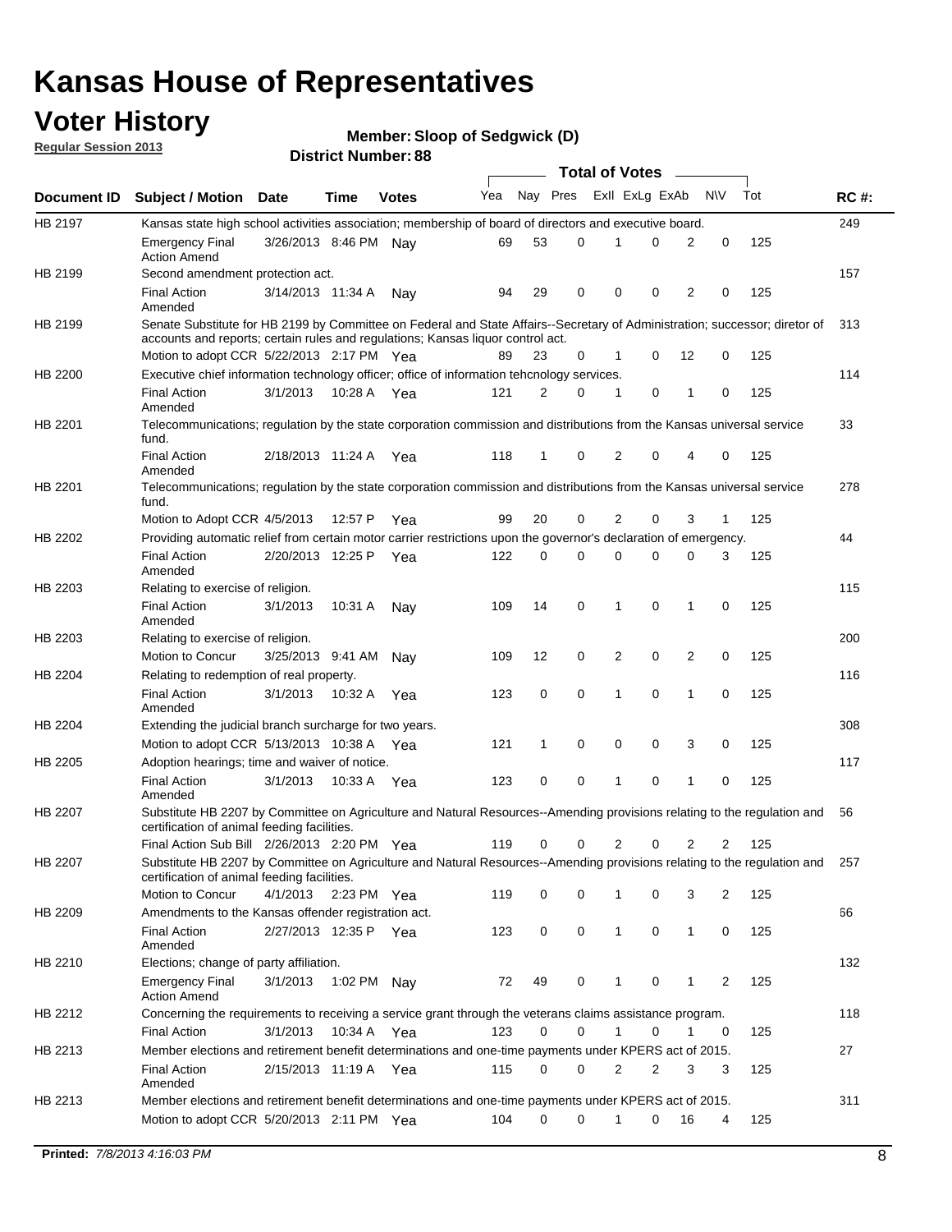## **Voter History**

**Member: Sloop of Sedgwick (D)** 

**Regular Session 2013**

|                    |                                                                                                                                                                                                                |                       | טט . וסעווואר ועווואכן |              |     |              | <b>Total of Votes</b> |                |   |              |           |     |     |
|--------------------|----------------------------------------------------------------------------------------------------------------------------------------------------------------------------------------------------------------|-----------------------|------------------------|--------------|-----|--------------|-----------------------|----------------|---|--------------|-----------|-----|-----|
| <b>Document ID</b> | <b>Subject / Motion Date</b>                                                                                                                                                                                   |                       | <b>Time</b>            | <b>Votes</b> | Yea | Nay Pres     |                       | Exll ExLg ExAb |   |              | <b>NV</b> | Tot | RC# |
| HB 2197            | Kansas state high school activities association; membership of board of directors and executive board.                                                                                                         |                       |                        |              |     |              |                       |                |   |              |           |     | 249 |
|                    | <b>Emergency Final</b><br><b>Action Amend</b>                                                                                                                                                                  | 3/26/2013 8:46 PM Nay |                        |              | 69  | 53           | 0                     | 1              | 0 | 2            | 0         | 125 |     |
| HB 2199            | Second amendment protection act.                                                                                                                                                                               |                       |                        |              |     |              |                       |                |   |              |           |     | 157 |
|                    | <b>Final Action</b><br>Amended                                                                                                                                                                                 | 3/14/2013 11:34 A     |                        | Nay          | 94  | 29           | 0                     | 0              | 0 | 2            | 0         | 125 |     |
| HB 2199            | Senate Substitute for HB 2199 by Committee on Federal and State Affairs--Secretary of Administration; successor; diretor of<br>accounts and reports; certain rules and regulations; Kansas liquor control act. |                       |                        |              |     |              |                       |                |   |              |           |     | 313 |
|                    | Motion to adopt CCR 5/22/2013 2:17 PM Yea                                                                                                                                                                      |                       |                        |              | 89  | 23           | 0                     | $\mathbf 1$    | 0 | 12           | 0         | 125 |     |
| HB 2200            | Executive chief information technology officer; office of information tehcnology services.                                                                                                                     |                       |                        |              |     |              |                       |                |   |              |           |     | 114 |
|                    | <b>Final Action</b><br>Amended                                                                                                                                                                                 | 3/1/2013              | 10:28 A Yea            |              | 121 | 2            | 0                     | 1              | 0 | 1            | 0         | 125 |     |
| HB 2201            | Telecommunications; regulation by the state corporation commission and distributions from the Kansas universal service<br>fund.                                                                                |                       |                        |              |     |              |                       |                |   |              |           |     | 33  |
|                    | <b>Final Action</b><br>Amended                                                                                                                                                                                 | 2/18/2013 11:24 A     |                        | Yea          | 118 | 1            | 0                     | 2              | 0 | 4            | 0         | 125 |     |
| HB 2201            | Telecommunications; regulation by the state corporation commission and distributions from the Kansas universal service<br>fund.                                                                                |                       |                        |              |     |              |                       |                |   |              |           |     | 278 |
|                    | Motion to Adopt CCR 4/5/2013                                                                                                                                                                                   |                       | 12:57 P                | Yea          | 99  | 20           | 0                     | 2              | 0 | 3            | 1         | 125 |     |
| HB 2202            | Providing automatic relief from certain motor carrier restrictions upon the governor's declaration of emergency.                                                                                               |                       |                        |              |     |              |                       |                |   |              |           |     | 44  |
|                    | <b>Final Action</b><br>Amended                                                                                                                                                                                 | 2/20/2013 12:25 P     |                        | Yea          | 122 | 0            | 0                     | $\Omega$       | 0 | 0            | 3         | 125 |     |
| HB 2203            | Relating to exercise of religion.                                                                                                                                                                              |                       |                        |              |     |              |                       |                |   |              |           |     | 115 |
|                    | <b>Final Action</b><br>Amended                                                                                                                                                                                 | 3/1/2013              | 10:31 A                | Nay          | 109 | 14           | 0                     | 1              | 0 | 1            | 0         | 125 |     |
| HB 2203            | Relating to exercise of religion.                                                                                                                                                                              |                       |                        |              |     |              |                       |                |   |              |           |     | 200 |
|                    | Motion to Concur                                                                                                                                                                                               | 3/25/2013 9:41 AM     |                        | Nay          | 109 | 12           | 0                     | 2              | 0 | 2            | 0         | 125 |     |
| HB 2204            | Relating to redemption of real property.                                                                                                                                                                       |                       |                        |              |     |              |                       |                |   |              |           |     | 116 |
|                    | <b>Final Action</b><br>Amended                                                                                                                                                                                 | 3/1/2013              | 10:32 A                | Yea          | 123 | 0            | 0                     | 1              | 0 | 1            | 0         | 125 |     |
| HB 2204            | Extending the judicial branch surcharge for two years.                                                                                                                                                         |                       |                        |              |     |              |                       |                |   |              |           |     | 308 |
|                    | Motion to adopt CCR $5/13/2013$ 10:38 A Yea                                                                                                                                                                    |                       |                        |              | 121 | $\mathbf{1}$ | 0                     | 0              | 0 | 3            | 0         | 125 |     |
| HB 2205            | Adoption hearings; time and waiver of notice.                                                                                                                                                                  |                       |                        |              |     |              |                       |                |   |              |           |     | 117 |
|                    | <b>Final Action</b><br>Amended                                                                                                                                                                                 | 3/1/2013              | 10:33 A Yea            |              | 123 | 0            | 0                     | 1              | 0 | 1            | 0         | 125 |     |
| HB 2207            | Substitute HB 2207 by Committee on Agriculture and Natural Resources--Amending provisions relating to the regulation and<br>certification of animal feeding facilities.                                        |                       |                        |              |     |              |                       |                |   |              |           |     | 56  |
|                    | Final Action Sub Bill 2/26/2013 2:20 PM Yea                                                                                                                                                                    |                       |                        |              | 119 | 0            | 0                     | 2              | 0 | 2            | 2         | 125 |     |
| HB 2207            | Substitute HB 2207 by Committee on Agriculture and Natural Resources--Amending provisions relating to the regulation and<br>certification of animal feeding facilities.                                        |                       |                        |              |     |              |                       |                |   |              |           |     | 257 |
|                    | Motion to Concur                                                                                                                                                                                               | 4/1/2013 2:23 PM Yea  |                        |              | 119 | 0            | 0                     | 1              | 0 | 3            | 2         | 125 |     |
| HB 2209            | Amendments to the Kansas offender registration act.                                                                                                                                                            |                       |                        |              |     |              |                       |                |   |              |           |     | 66  |
|                    | <b>Final Action</b><br>Amended                                                                                                                                                                                 | 2/27/2013 12:35 P     |                        | Yea          | 123 | 0            | 0                     | 1              | 0 | $\mathbf{1}$ | 0         | 125 |     |
| HB 2210            | Elections; change of party affiliation.                                                                                                                                                                        |                       |                        |              |     |              |                       |                |   |              |           |     | 132 |
|                    | <b>Emergency Final</b><br><b>Action Amend</b>                                                                                                                                                                  | 3/1/2013              | 1:02 PM Nay            |              | 72  | 49           | 0                     | 1              | 0 | 1            | 2         | 125 |     |
| HB 2212            | Concerning the requirements to receiving a service grant through the veterans claims assistance program.                                                                                                       |                       |                        |              |     |              |                       |                |   |              |           |     | 118 |
|                    | <b>Final Action</b>                                                                                                                                                                                            | 3/1/2013              | 10:34 A                | Yea          | 123 | 0            | 0                     | 1              | 0 | 1            | 0         | 125 |     |
| HB 2213            | Member elections and retirement benefit determinations and one-time payments under KPERS act of 2015.                                                                                                          |                       |                        |              |     |              |                       |                |   |              |           |     | 27  |
|                    | <b>Final Action</b><br>Amended                                                                                                                                                                                 | 2/15/2013 11:19 A Yea |                        |              | 115 | 0            | 0                     | 2              | 2 | 3            | 3         | 125 |     |
| HB 2213            | Member elections and retirement benefit determinations and one-time payments under KPERS act of 2015.<br>Motion to adopt CCR 5/20/2013 2:11 PM Yea                                                             |                       |                        |              | 104 | 0            | 0                     | 1              | 0 | 16           | 4         | 125 | 311 |
|                    |                                                                                                                                                                                                                |                       |                        |              |     |              |                       |                |   |              |           |     |     |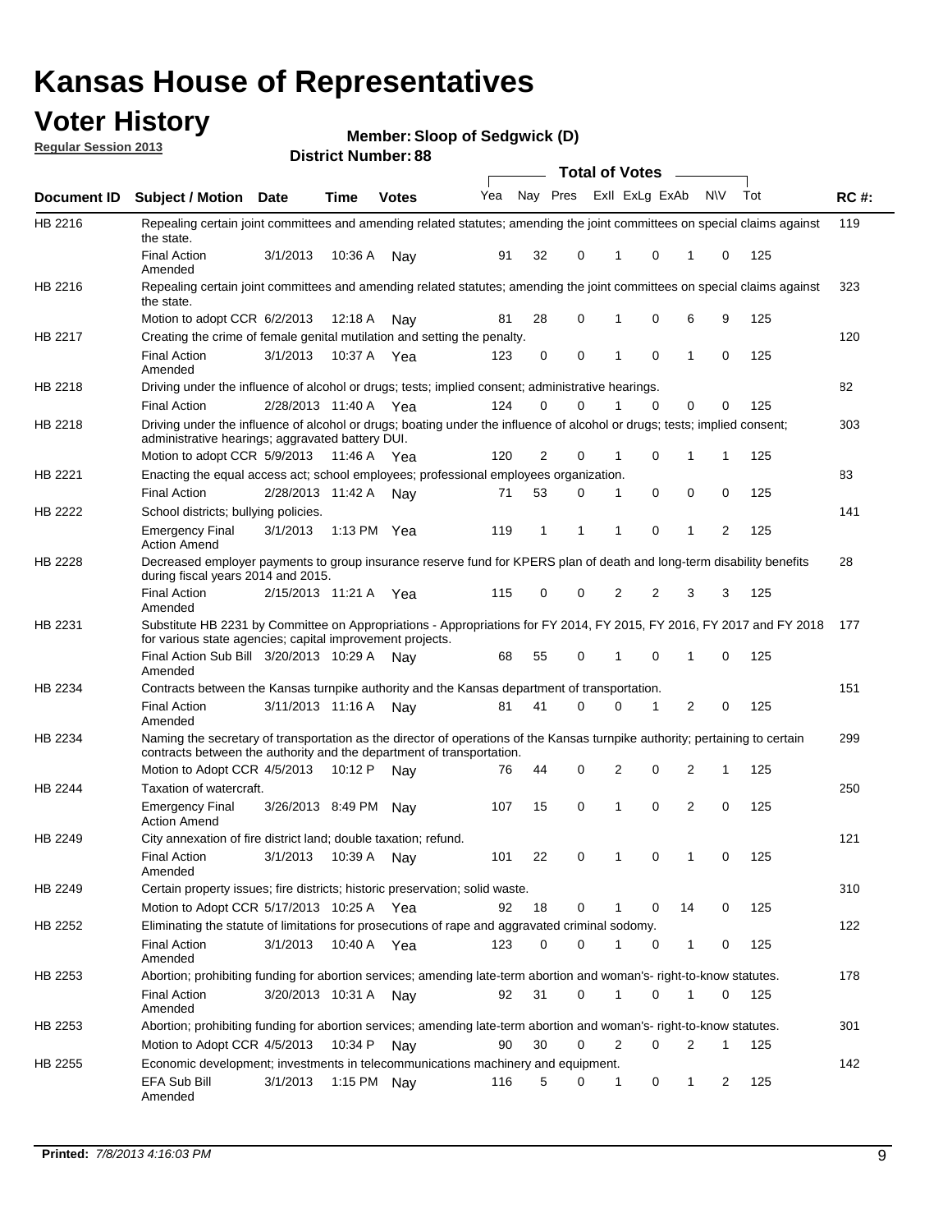## **Voter History**

**Member: Sloop of Sedgwick (D)** 

**Regular Session 2013**

|             |                                                                                                                                                                                                               |                         |               |              |     |          |          | <b>Total of Votes</b> |          | $\overline{\phantom{a}}$ |           |     |             |
|-------------|---------------------------------------------------------------------------------------------------------------------------------------------------------------------------------------------------------------|-------------------------|---------------|--------------|-----|----------|----------|-----------------------|----------|--------------------------|-----------|-----|-------------|
| Document ID | Subject / Motion Date                                                                                                                                                                                         |                         | <b>Time</b>   | <b>Votes</b> | Yea | Nay Pres |          | Exll ExLg ExAb        |          |                          | <b>NV</b> | Tot | <b>RC#:</b> |
| HB 2216     | Repealing certain joint committees and amending related statutes; amending the joint committees on special claims against<br>the state.                                                                       |                         |               |              |     |          |          |                       |          |                          |           |     | 119         |
|             | <b>Final Action</b><br>Amended                                                                                                                                                                                | 3/1/2013                | 10:36 A       | Nay          | 91  | 32       | 0        | 1                     | 0        | 1                        | 0         | 125 |             |
| HB 2216     | Repealing certain joint committees and amending related statutes; amending the joint committees on special claims against<br>the state.                                                                       |                         |               |              |     |          |          |                       |          |                          |           |     | 323         |
|             | Motion to adopt CCR 6/2/2013                                                                                                                                                                                  |                         | 12:18 A       | Nav          | 81  | 28       | 0        | 1                     | 0        | 6                        | 9         | 125 |             |
| HB 2217     | Creating the crime of female genital mutilation and setting the penalty.                                                                                                                                      |                         |               |              |     |          |          |                       |          |                          |           |     | 120         |
|             | <b>Final Action</b><br>Amended                                                                                                                                                                                | 3/1/2013                | 10:37 A Yea   |              | 123 | 0        | 0        | 1                     | 0        | 1                        | 0         | 125 |             |
| HB 2218     | Driving under the influence of alcohol or drugs; tests; implied consent; administrative hearings.                                                                                                             |                         |               |              |     |          |          |                       |          |                          |           |     | 82          |
|             | <b>Final Action</b>                                                                                                                                                                                           | 2/28/2013 11:40 A Yea   |               |              | 124 | 0        | $\Omega$ |                       | $\Omega$ | 0                        | 0         | 125 |             |
| HB 2218     | Driving under the influence of alcohol or drugs; boating under the influence of alcohol or drugs; tests; implied consent;<br>administrative hearings; aggravated battery DUI.<br>Motion to adopt CCR 5/9/2013 |                         | 11:46 A Yea   |              | 120 | 2        | 0        | 1                     | 0        | 1                        | 1         | 125 | 303         |
| HB 2221     | Enacting the equal access act; school employees; professional employees organization.                                                                                                                         |                         |               |              |     |          |          |                       |          |                          |           |     | 83          |
|             | <b>Final Action</b>                                                                                                                                                                                           | 2/28/2013 11:42 A       |               |              | 71  | 53       | 0        |                       | 0        |                          |           |     |             |
|             |                                                                                                                                                                                                               |                         |               | Nay          |     |          |          | 1                     |          | 0                        | 0         | 125 |             |
| HB 2222     | School districts; bullying policies.<br>Emergency Final<br><b>Action Amend</b>                                                                                                                                | 3/1/2013                | 1:13 PM $Yea$ |              | 119 | 1        | 1        | 1                     | 0        | 1                        | 2         | 125 | 141         |
| HB 2228     | Decreased employer payments to group insurance reserve fund for KPERS plan of death and long-term disability benefits<br>during fiscal years 2014 and 2015.                                                   |                         |               |              |     |          |          |                       |          |                          |           |     | 28          |
|             | <b>Final Action</b><br>Amended                                                                                                                                                                                | 2/15/2013 11:21 A Yea   |               |              | 115 | 0        | 0        | 2                     | 2        | 3                        | 3         | 125 |             |
| HB 2231     | Substitute HB 2231 by Committee on Appropriations - Appropriations for FY 2014, FY 2015, FY 2016, FY 2017 and FY 2018 177<br>for various state agencies; capital improvement projects.                        |                         |               |              |     |          |          |                       |          |                          |           |     |             |
|             | Final Action Sub Bill 3/20/2013 10:29 A<br>Amended                                                                                                                                                            |                         |               | Nav          | 68  | 55       | 0        | 1                     | 0        | 1                        | 0         | 125 |             |
| HB 2234     | Contracts between the Kansas turnpike authority and the Kansas department of transportation.                                                                                                                  |                         |               |              |     |          |          |                       |          |                          |           |     | 151         |
|             | <b>Final Action</b><br>Amended                                                                                                                                                                                | 3/11/2013 11:16 A       |               | Nay          | 81  | 41       | 0        | 0                     | 1        | 2                        | 0         | 125 |             |
| HB 2234     | Naming the secretary of transportation as the director of operations of the Kansas turnpike authority; pertaining to certain<br>contracts between the authority and the department of transportation.         |                         |               |              |     |          |          |                       |          |                          |           |     | 299         |
|             | Motion to Adopt CCR 4/5/2013                                                                                                                                                                                  |                         | 10:12 P       | Nav          | 76  | 44       | 0        | 2                     | 0        | 2                        | 1         | 125 |             |
| HB 2244     | Taxation of watercraft.<br><b>Emergency Final</b>                                                                                                                                                             | 3/26/2013 8:49 PM       |               | Nav          | 107 | 15       | 0        | 1                     | 0        | 2                        | 0         | 125 | 250         |
|             | <b>Action Amend</b><br>City annexation of fire district land; double taxation; refund.                                                                                                                        |                         |               |              |     |          |          |                       |          |                          |           |     | 121         |
| HB 2249     | Final Action<br>Amended                                                                                                                                                                                       | 3/1/2013  10:39 A   Nay |               |              | 101 | 22       | 0        | $\mathbf{1}$          | $\Omega$ | 1                        | 0         | 125 |             |
| HB 2249     | Certain property issues; fire districts; historic preservation; solid waste.                                                                                                                                  |                         |               |              |     |          |          |                       |          |                          |           |     | 310         |
|             | Motion to Adopt CCR 5/17/2013 10:25 A Yea                                                                                                                                                                     |                         |               |              | 92  | 18       | 0        |                       | 0        | 14                       | 0         | 125 |             |
| HB 2252     | Eliminating the statute of limitations for prosecutions of rape and aggravated criminal sodomy.                                                                                                               |                         |               |              |     |          |          |                       |          |                          |           |     | 122         |
|             | <b>Final Action</b>                                                                                                                                                                                           | 3/1/2013                | 10:40 A Yea   |              | 123 | 0        | 0        |                       | 0        | 1                        | 0         | 125 |             |
|             | Amended                                                                                                                                                                                                       |                         |               |              |     |          |          |                       |          |                          |           |     |             |
| HB 2253     | Abortion; prohibiting funding for abortion services; amending late-term abortion and woman's- right-to-know statutes.                                                                                         |                         |               |              |     |          |          |                       |          |                          |           |     | 178         |
|             | <b>Final Action</b><br>Amended                                                                                                                                                                                | 3/20/2013 10:31 A       |               | Nav          | 92  | 31       | 0        | 1                     | 0        | 1                        | 0         | 125 |             |
| HB 2253     | Abortion; prohibiting funding for abortion services; amending late-term abortion and woman's- right-to-know statutes.                                                                                         |                         |               |              |     |          |          |                       |          |                          |           |     | 301         |
|             | Motion to Adopt CCR 4/5/2013                                                                                                                                                                                  |                         | 10:34 P Nay   |              | 90  | 30       | 0        | 2                     | 0        | 2                        | 1         | 125 |             |
| HB 2255     | Economic development; investments in telecommunications machinery and equipment.                                                                                                                              |                         |               |              |     |          |          |                       |          |                          |           |     | 142         |
|             | EFA Sub Bill<br>Amended                                                                                                                                                                                       | 3/1/2013                | 1:15 PM Nay   |              | 116 | 5        | 0        | -1                    | 0        | 1                        | 2         | 125 |             |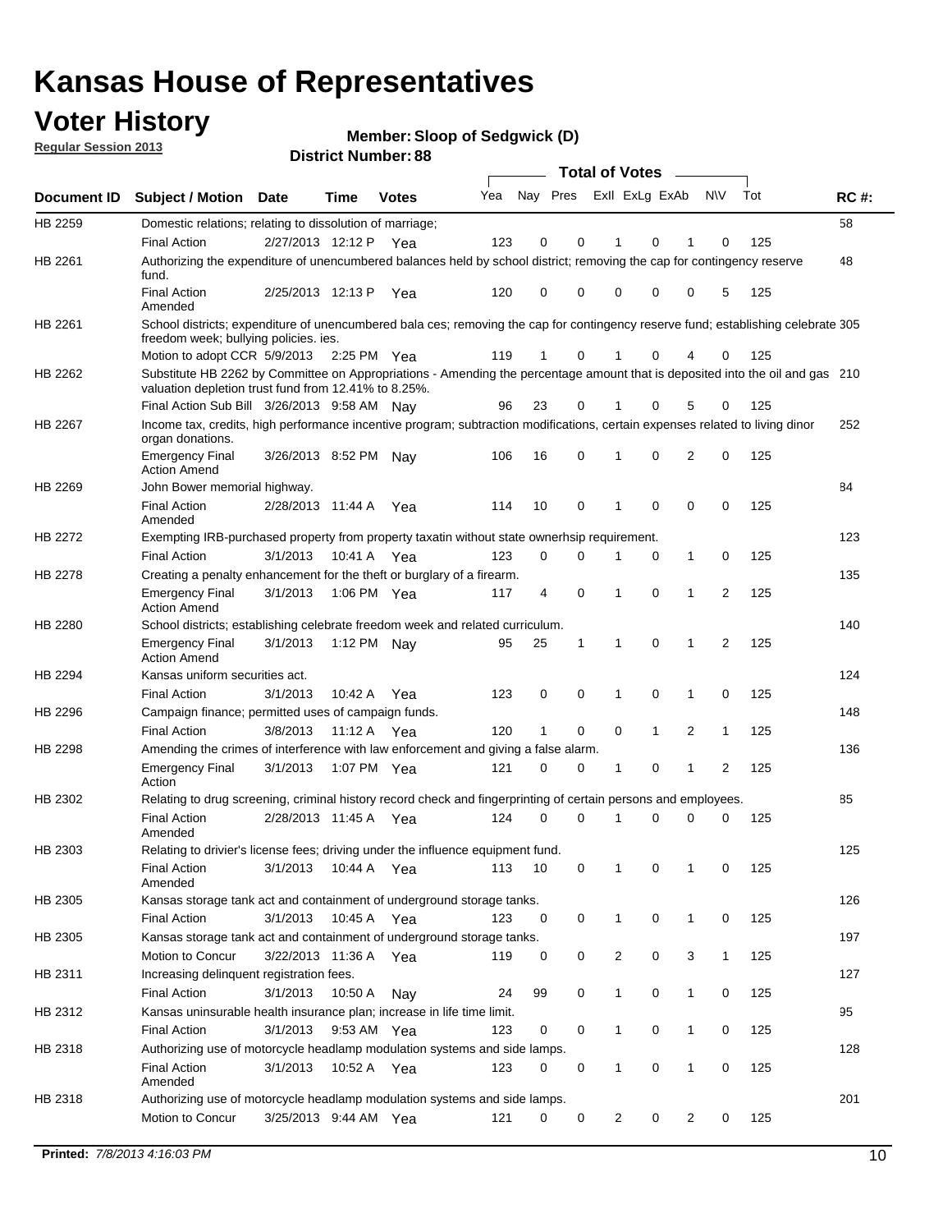## **Voter History**

**Member: Sloop of Sedgwick (D)** 

**Regular Session 2013**

|             |                                                                                                                                                                                       |                       |               |              |     |                         |             | <b>Total of Votes</b> |              | $\overline{\phantom{0}}$ |              |     |             |
|-------------|---------------------------------------------------------------------------------------------------------------------------------------------------------------------------------------|-----------------------|---------------|--------------|-----|-------------------------|-------------|-----------------------|--------------|--------------------------|--------------|-----|-------------|
| Document ID | <b>Subject / Motion</b>                                                                                                                                                               | <b>Date</b>           | Time          | <b>Votes</b> | Yea | Nay Pres ExII ExLg ExAb |             |                       |              |                          | N\V          | Tot | <b>RC#:</b> |
| HB 2259     | Domestic relations; relating to dissolution of marriage;                                                                                                                              |                       |               |              |     |                         |             |                       |              |                          |              |     | 58          |
|             | <b>Final Action</b>                                                                                                                                                                   | 2/27/2013 12:12 P     |               | Yea          | 123 | $\mathbf 0$             | 0           | $\mathbf 1$           | 0            | 1                        | 0            | 125 |             |
| HB 2261     | Authorizing the expenditure of unencumbered balances held by school district; removing the cap for contingency reserve<br>fund.                                                       |                       |               |              |     |                         |             |                       |              |                          |              |     | 48          |
|             | <b>Final Action</b><br>Amended                                                                                                                                                        | 2/25/2013 12:13 P     |               | Yea          | 120 | 0                       | 0           | 0                     | 0            | 0                        | 5            | 125 |             |
| HB 2261     | School districts; expenditure of unencumbered bala ces; removing the cap for contingency reserve fund; establishing celebrate 305<br>freedom week; bullying policies. ies.            |                       |               |              |     |                         |             |                       |              |                          |              |     |             |
|             | Motion to adopt CCR 5/9/2013                                                                                                                                                          |                       | 2:25 PM Yea   |              | 119 | 1                       | 0           | 1                     | 0            | 4                        | 0            | 125 |             |
| HB 2262     | Substitute HB 2262 by Committee on Appropriations - Amending the percentage amount that is deposited into the oil and gas 210<br>valuation depletion trust fund from 12.41% to 8.25%. |                       |               |              |     |                         |             |                       |              |                          |              |     |             |
|             | Final Action Sub Bill 3/26/2013 9:58 AM Nav                                                                                                                                           |                       |               |              | 96  | 23                      | 0           |                       | 0            | 5                        | 0            | 125 |             |
| HB 2267     | Income tax, credits, high performance incentive program; subtraction modifications, certain expenses related to living dinor<br>organ donations.                                      |                       |               |              |     |                         |             |                       |              |                          |              |     | 252         |
|             | <b>Emergency Final</b><br><b>Action Amend</b>                                                                                                                                         | 3/26/2013 8:52 PM     |               | Nav          | 106 | 16                      | 0           | 1                     | 0            | 2                        | 0            | 125 |             |
| HB 2269     | John Bower memorial highway.                                                                                                                                                          |                       |               |              |     |                         |             |                       |              |                          |              |     | 84          |
|             | <b>Final Action</b><br>Amended                                                                                                                                                        | 2/28/2013 11:44 A     |               | Yea          | 114 | 10                      | 0           | $\mathbf 1$           | $\mathbf 0$  | 0                        | 0            | 125 |             |
| HB 2272     | Exempting IRB-purchased property from property taxatin without state ownerhsip requirement.                                                                                           |                       |               |              |     |                         |             |                       |              |                          |              |     | 123         |
|             | <b>Final Action</b>                                                                                                                                                                   | 3/1/2013              | 10:41 A Yea   |              | 123 | 0                       | 0           | 1                     | 0            | $\mathbf{1}$             | 0            | 125 |             |
| HB 2278     | Creating a penalty enhancement for the theft or burglary of a firearm.                                                                                                                |                       |               |              |     |                         |             |                       |              |                          |              |     | 135         |
|             | <b>Emergency Final</b><br><b>Action Amend</b>                                                                                                                                         | 3/1/2013              | 1:06 PM $Yea$ |              | 117 | 4                       | 0           | 1                     | $\mathbf 0$  | $\mathbf{1}$             | 2            | 125 |             |
| HB 2280     | School districts; establishing celebrate freedom week and related curriculum.                                                                                                         |                       |               |              |     |                         |             |                       |              |                          |              |     | 140         |
|             | <b>Emergency Final</b><br><b>Action Amend</b>                                                                                                                                         | 3/1/2013              | 1:12 PM Nay   |              | 95  | 25                      | 1           | 1                     | $\mathbf 0$  | 1                        | 2            | 125 |             |
| HB 2294     | Kansas uniform securities act.                                                                                                                                                        |                       |               |              |     |                         |             |                       |              |                          |              |     | 124         |
|             | <b>Final Action</b>                                                                                                                                                                   | 3/1/2013              | 10:42 A       | Yea          | 123 | 0                       | $\mathbf 0$ | $\mathbf 1$           | 0            | 1                        | 0            | 125 |             |
| HB 2296     | Campaign finance; permitted uses of campaign funds.                                                                                                                                   |                       |               |              |     |                         |             |                       |              |                          |              |     | 148         |
|             | <b>Final Action</b>                                                                                                                                                                   | 3/8/2013              | 11:12 A Yea   |              | 120 | $\mathbf{1}$            | 0           | $\Omega$              | $\mathbf{1}$ | $\overline{2}$           | $\mathbf{1}$ | 125 |             |
| HB 2298     | Amending the crimes of interference with law enforcement and giving a false alarm.                                                                                                    |                       |               |              |     |                         |             |                       |              |                          |              |     | 136         |
|             | <b>Emergency Final</b><br>Action                                                                                                                                                      | 3/1/2013              | 1:07 PM Yea   |              | 121 | 0                       | 0           | $\mathbf 1$           | 0            | 1                        | 2            | 125 |             |
| HB 2302     | Relating to drug screening, criminal history record check and fingerprinting of certain persons and employees.                                                                        |                       |               |              |     |                         |             |                       |              |                          |              |     | 85          |
|             | <b>Final Action</b><br>Amended                                                                                                                                                        | 2/28/2013 11:45 A     |               | Yea          | 124 | 0                       | $\Omega$    | 1                     | 0            | 0                        | 0            | 125 |             |
| HB 2303     | Relating to drivier's license fees; driving under the influence equipment fund.                                                                                                       |                       |               |              |     |                         |             |                       |              |                          |              |     | 125         |
|             | <b>Final Action</b><br>Amended                                                                                                                                                        | 3/1/2013              | 10:44 A Yea   |              | 113 | 10                      | 0           | 1                     | 0            | 1                        | 0            | 125 |             |
| HB 2305     | Kansas storage tank act and containment of underground storage tanks.                                                                                                                 |                       |               |              |     |                         |             |                       |              |                          |              |     | 126         |
|             | <b>Final Action</b>                                                                                                                                                                   | 3/1/2013              | 10:45 A       | Yea          | 123 | 0                       | 0           | 1                     | 0            | 1                        | 0            | 125 |             |
| HB 2305     | Kansas storage tank act and containment of underground storage tanks.                                                                                                                 |                       |               |              |     |                         |             |                       |              |                          |              |     | 197         |
|             | Motion to Concur                                                                                                                                                                      | 3/22/2013 11:36 A     |               | Yea          | 119 | 0                       | 0           | 2                     | 0            | 3                        | $\mathbf{1}$ | 125 |             |
| HB 2311     | Increasing delinquent registration fees.                                                                                                                                              |                       |               |              |     |                         |             |                       |              |                          |              |     | 127         |
|             | <b>Final Action</b>                                                                                                                                                                   | 3/1/2013              | 10:50 A       | Nay          | 24  | 99                      | 0           | $\mathbf{1}$          | 0            | 1                        | 0            | 125 |             |
| HB 2312     | Kansas uninsurable health insurance plan; increase in life time limit.                                                                                                                |                       |               |              |     |                         |             |                       |              |                          |              |     | 95          |
|             | <b>Final Action</b>                                                                                                                                                                   | 3/1/2013              | 9:53 AM Yea   |              | 123 | 0                       | 0           | 1                     | 0            | 1                        | 0            | 125 |             |
| HB 2318     | Authorizing use of motorcycle headlamp modulation systems and side lamps.                                                                                                             |                       |               |              |     |                         |             |                       |              |                          |              |     | 128         |
|             | <b>Final Action</b><br>Amended                                                                                                                                                        | 3/1/2013              | 10:52 A Yea   |              | 123 | 0                       | 0           | $\mathbf{1}$          | 0            | 1                        | 0            | 125 |             |
| HB 2318     | Authorizing use of motorcycle headlamp modulation systems and side lamps.                                                                                                             |                       |               |              |     |                         |             |                       |              |                          |              |     | 201         |
|             | Motion to Concur                                                                                                                                                                      | 3/25/2013 9:44 AM Yea |               |              | 121 | 0                       | 0           | $\overline{2}$        | 0            | 2                        | 0            | 125 |             |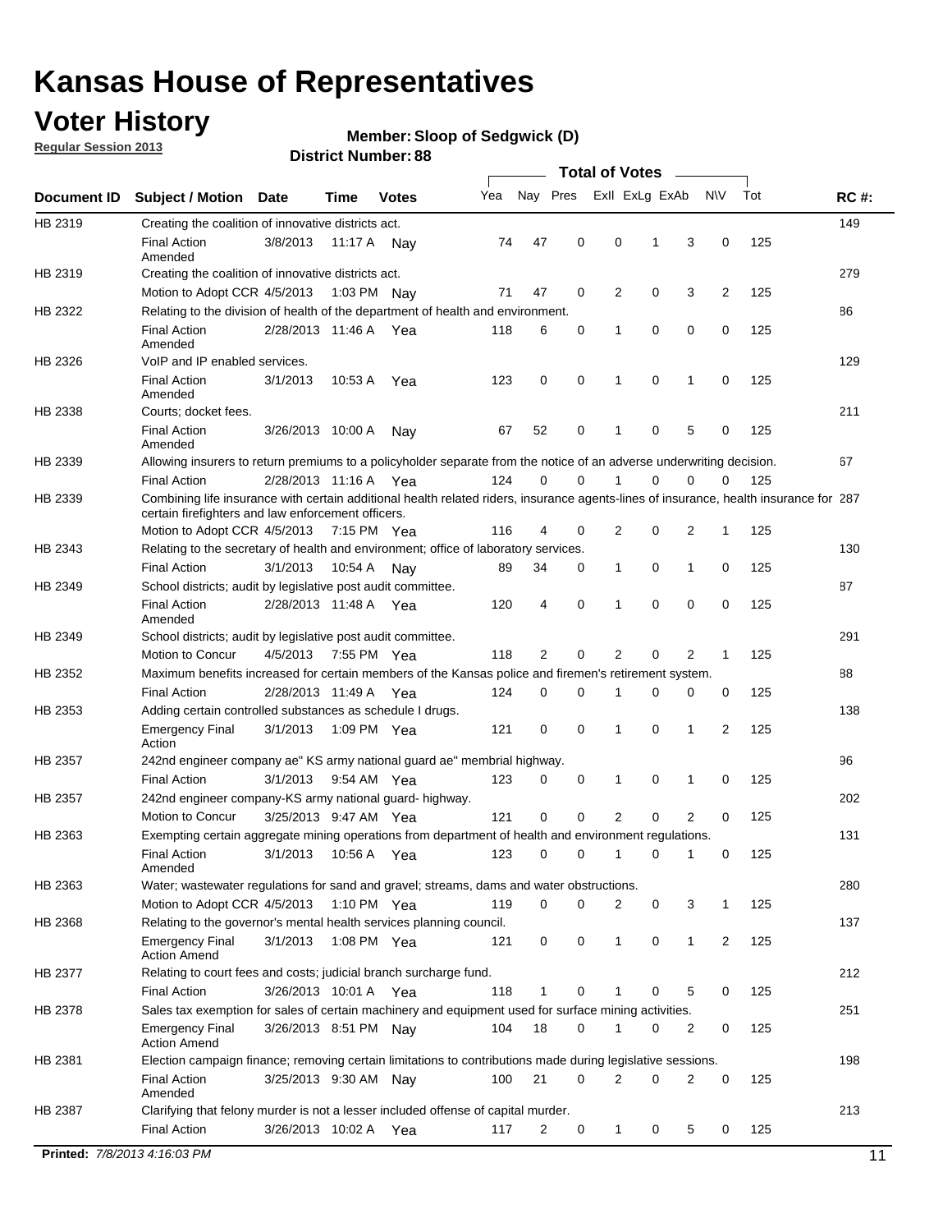## **Voter History**

**Member: Sloop of Sedgwick (D)** 

**Regular Session 2013**

|             |                                                                                                                                                                                             |                       |                   |               |     |             |             | <b>Total of Votes</b> |   |                |           |     |             |
|-------------|---------------------------------------------------------------------------------------------------------------------------------------------------------------------------------------------|-----------------------|-------------------|---------------|-----|-------------|-------------|-----------------------|---|----------------|-----------|-----|-------------|
| Document ID | <b>Subject / Motion</b>                                                                                                                                                                     | <b>Date</b>           | Time              | <b>Votes</b>  | Yea | Nay Pres    |             | Exll ExLg ExAb        |   |                | <b>NV</b> | Tot | <b>RC#:</b> |
| HB 2319     | Creating the coalition of innovative districts act.                                                                                                                                         |                       |                   |               |     |             |             |                       |   |                |           |     | 149         |
|             | <b>Final Action</b><br>Amended                                                                                                                                                              | 3/8/2013              | 11:17 A           | Nav           | 74  | 47          | 0           | 0                     | 1 | 3              | 0         | 125 |             |
| HB 2319     | Creating the coalition of innovative districts act.                                                                                                                                         |                       |                   |               |     |             |             |                       |   |                |           |     | 279         |
|             | Motion to Adopt CCR 4/5/2013                                                                                                                                                                |                       |                   | 1:03 PM Nay   | 71  | 47          | 0           | 2                     | 0 | 3              | 2         | 125 |             |
| HB 2322     | Relating to the division of health of the department of health and environment.                                                                                                             |                       |                   |               |     |             |             |                       |   |                |           |     | 86          |
|             | <b>Final Action</b>                                                                                                                                                                         | 2/28/2013 11:46 A Yea |                   |               | 118 | 6           | 0           | 1                     | 0 | 0              | 0         | 125 |             |
| HB 2326     | Amended<br>VoIP and IP enabled services.                                                                                                                                                    |                       |                   |               |     |             |             |                       |   |                |           |     | 129         |
|             | <b>Final Action</b>                                                                                                                                                                         | 3/1/2013              | 10.53 A           | Yea           | 123 | $\mathbf 0$ | 0           | $\mathbf{1}$          | 0 | 1              | 0         | 125 |             |
|             | Amended                                                                                                                                                                                     |                       |                   |               |     |             |             |                       |   |                |           |     |             |
| HB 2338     | Courts; docket fees.                                                                                                                                                                        |                       |                   |               |     |             |             |                       |   |                |           |     | 211         |
|             | <b>Final Action</b><br>Amended                                                                                                                                                              | 3/26/2013 10:00 A     |                   | Nav           | 67  | 52          | 0           | $\mathbf 1$           | 0 | 5              | 0         | 125 |             |
| HB 2339     | Allowing insurers to return premiums to a policyholder separate from the notice of an adverse underwriting decision.                                                                        |                       |                   |               |     |             |             |                       |   |                |           |     | 67          |
|             | <b>Final Action</b>                                                                                                                                                                         | 2/28/2013 11:16 A Yea |                   |               | 124 | 0           | 0           |                       | 0 | 0              | 0         | 125 |             |
| HB 2339     | Combining life insurance with certain additional health related riders, insurance agents-lines of insurance, health insurance for 287<br>certain firefighters and law enforcement officers. |                       |                   |               |     |             |             |                       |   |                |           |     |             |
|             | Motion to Adopt CCR 4/5/2013 7:15 PM Yea                                                                                                                                                    |                       |                   |               | 116 | 4           | 0           | 2                     | 0 | 2              | -1        | 125 |             |
| HB 2343     | Relating to the secretary of health and environment; office of laboratory services.                                                                                                         |                       |                   |               |     |             |             |                       |   |                |           |     | 130         |
|             | <b>Final Action</b>                                                                                                                                                                         | 3/1/2013              | 10:54 A Nay       |               | 89  | 34          | 0           | 1                     | 0 | $\mathbf{1}$   | 0         | 125 |             |
| HB 2349     | School districts; audit by legislative post audit committee.                                                                                                                                |                       |                   |               |     |             |             |                       |   |                |           |     | 87          |
|             | <b>Final Action</b><br>Amended                                                                                                                                                              | 2/28/2013 11:48 A Yea |                   |               | 120 | 4           | $\mathbf 0$ | $\mathbf{1}$          | 0 | $\mathbf 0$    | 0         | 125 |             |
| HB 2349     | School districts; audit by legislative post audit committee.                                                                                                                                |                       |                   |               |     |             |             |                       |   |                |           |     | 291         |
|             | Motion to Concur                                                                                                                                                                            | 4/5/2013              |                   | 7:55 PM Yea   | 118 | 2           | 0           | 2                     | 0 | 2              | 1         | 125 |             |
| HB 2352     | Maximum benefits increased for certain members of the Kansas police and firemen's retirement system.                                                                                        |                       |                   |               |     |             |             |                       |   |                |           |     | 88          |
|             | <b>Final Action</b>                                                                                                                                                                         | 2/28/2013 11:49 A     |                   | Yea           | 124 | 0           | 0           | 1                     | 0 | 0              | 0         | 125 |             |
| HB 2353     | Adding certain controlled substances as schedule I drugs.                                                                                                                                   |                       |                   |               |     |             |             |                       |   |                |           |     | 138         |
|             | Emergency Final<br>Action                                                                                                                                                                   | 3/1/2013              |                   | 1:09 PM Yea   | 121 | 0           | 0           | $\mathbf{1}$          | 0 | 1              | 2         | 125 |             |
| HB 2357     | 242nd engineer company ae" KS army national guard ae" membrial highway.                                                                                                                     |                       |                   |               |     |             |             |                       |   |                |           |     | 96          |
|             | <b>Final Action</b>                                                                                                                                                                         | 3/1/2013              |                   | 9:54 AM Yea   | 123 | 0           | 0           | 1                     | 0 | 1              | 0         | 125 |             |
| HB 2357     | 242nd engineer company-KS army national guard- highway.                                                                                                                                     |                       |                   |               |     |             |             |                       |   |                |           |     | 202         |
|             | Motion to Concur                                                                                                                                                                            | 3/25/2013 9:47 AM Yea |                   |               | 121 | $\mathbf 0$ | $\mathbf 0$ | 2                     | 0 | $\overline{2}$ | 0         | 125 |             |
| HB 2363     | Exempting certain aggregate mining operations from department of health and environment regulations.                                                                                        |                       |                   |               |     |             |             |                       |   |                |           |     | 131         |
|             | <b>Final Action</b><br>Amended                                                                                                                                                              | 3/1/2013              | 10:56 A           | Yea           | 123 | 0           | 0           | 1                     | 0 | 1              | 0         | 125 |             |
| HB 2363     | Water; wastewater regulations for sand and gravel; streams, dams and water obstructions.                                                                                                    |                       |                   |               |     |             |             |                       |   |                |           |     | 280         |
|             | Motion to Adopt CCR 4/5/2013                                                                                                                                                                |                       |                   | 1:10 PM $Yea$ | 119 | 0           | 0           | 2                     | 0 | 3              | 1         | 125 |             |
| HB 2368     | Relating to the governor's mental health services planning council.                                                                                                                         |                       |                   |               |     |             |             |                       |   |                |           |     | 137         |
|             | Emergency Final<br>Action Amend                                                                                                                                                             | 3/1/2013              |                   | 1:08 PM Yea   | 121 | 0           | 0           | 1                     | 0 | $\mathbf{1}$   | 2         | 125 |             |
| HB 2377     | Relating to court fees and costs; judicial branch surcharge fund.                                                                                                                           |                       |                   |               |     |             |             |                       |   |                |           |     | 212         |
|             | Final Action                                                                                                                                                                                | 3/26/2013 10:01 A Yea |                   |               | 118 | 1           | 0           |                       | 0 | 5              | 0         | 125 |             |
| HB 2378     | Sales tax exemption for sales of certain machinery and equipment used for surface mining activities.                                                                                        |                       |                   |               |     |             |             |                       |   |                |           |     | 251         |
|             | Emergency Final<br><b>Action Amend</b>                                                                                                                                                      | 3/26/2013 8:51 PM Nay |                   |               | 104 | 18          | 0           | 1                     | 0 | 2              | 0         | 125 |             |
| HB 2381     | Election campaign finance; removing certain limitations to contributions made during legislative sessions.                                                                                  |                       |                   |               |     |             |             |                       |   |                |           |     | 198         |
|             | <b>Final Action</b>                                                                                                                                                                         | 3/25/2013 9:30 AM Nay |                   |               | 100 | 21          | 0           | 2                     | 0 | $\overline{2}$ | 0         | 125 |             |
|             | Amended                                                                                                                                                                                     |                       |                   |               |     |             |             |                       |   |                |           |     |             |
| HB 2387     | Clarifying that felony murder is not a lesser included offense of capital murder.                                                                                                           |                       |                   |               |     |             |             |                       |   |                |           |     | 213         |
|             | <b>Final Action</b>                                                                                                                                                                         |                       | 3/26/2013 10:02 A | Yea           | 117 | 2           | 0           | 1                     | 0 | 5              | 0         | 125 |             |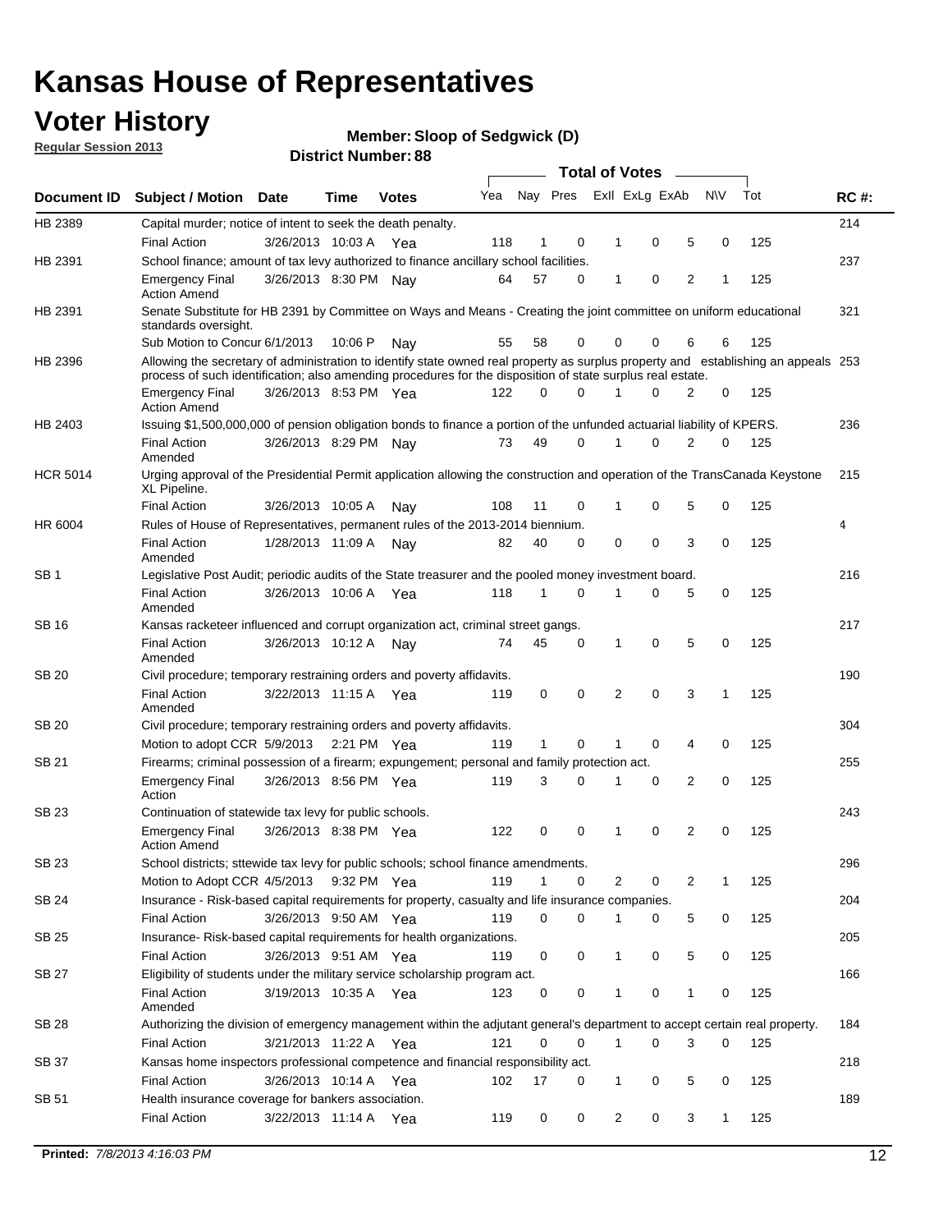## **Voter History**

**Member: Sloop of Sedgwick (D)** 

**Regular Session 2013**

|                 |                                                                                                                                                                                                                                                  |                       |         |              |     |              |          | <b>Total of Votes</b> |   |   |              |     |             |
|-----------------|--------------------------------------------------------------------------------------------------------------------------------------------------------------------------------------------------------------------------------------------------|-----------------------|---------|--------------|-----|--------------|----------|-----------------------|---|---|--------------|-----|-------------|
| Document ID     | Subject / Motion Date                                                                                                                                                                                                                            |                       | Time    | <b>Votes</b> | Yea | Nay Pres     |          | Exll ExLg ExAb        |   |   | <b>NV</b>    | Tot | <b>RC#:</b> |
| HB 2389         | Capital murder; notice of intent to seek the death penalty.                                                                                                                                                                                      |                       |         |              |     |              |          |                       |   |   |              |     | 214         |
|                 | <b>Final Action</b>                                                                                                                                                                                                                              | 3/26/2013 10:03 A     |         | Yea          | 118 | 1            | 0        | 1                     | 0 | 5 | 0            | 125 |             |
| HB 2391         | School finance; amount of tax levy authorized to finance ancillary school facilities.                                                                                                                                                            |                       |         |              |     |              |          |                       |   |   |              |     | 237         |
|                 | <b>Emergency Final</b><br><b>Action Amend</b>                                                                                                                                                                                                    | 3/26/2013 8:30 PM Nav |         |              | 64  | 57           | 0        | 1                     | 0 | 2 | 1            | 125 |             |
| HB 2391         | Senate Substitute for HB 2391 by Committee on Ways and Means - Creating the joint committee on uniform educational<br>standards oversight.                                                                                                       |                       |         |              |     |              |          |                       |   |   |              |     | 321         |
|                 | Sub Motion to Concur 6/1/2013                                                                                                                                                                                                                    |                       | 10:06 P | Nav          | 55  | 58           | 0        | 0                     | 0 | 6 | 6            | 125 |             |
| HB 2396         | Allowing the secretary of administration to identify state owned real property as surplus property and establishing an appeals 253<br>process of such identification; also amending procedures for the disposition of state surplus real estate. |                       |         |              |     |              |          |                       |   |   |              |     |             |
|                 | <b>Emergency Final</b><br>Action Amend                                                                                                                                                                                                           | 3/26/2013 8:53 PM Yea |         |              | 122 | 0            | 0        |                       | 0 | 2 | 0            | 125 |             |
| HB 2403         | Issuing \$1,500,000,000 of pension obligation bonds to finance a portion of the unfunded actuarial liability of KPERS.                                                                                                                           |                       |         |              |     |              |          |                       |   |   |              |     | 236         |
|                 | <b>Final Action</b><br>Amended                                                                                                                                                                                                                   | 3/26/2013 8:29 PM Nay |         |              | 73  | 49           | 0        | 1                     | 0 | 2 | 0            | 125 |             |
| <b>HCR 5014</b> | Urging approval of the Presidential Permit application allowing the construction and operation of the TransCanada Keystone<br>XL Pipeline.                                                                                                       |                       |         |              |     |              |          |                       |   |   |              |     | 215         |
|                 | <b>Final Action</b>                                                                                                                                                                                                                              | 3/26/2013 10:05 A     |         | Nav          | 108 | 11           | 0        |                       | 0 | 5 | 0            | 125 |             |
| HR 6004         | Rules of House of Representatives, permanent rules of the 2013-2014 biennium.                                                                                                                                                                    |                       |         |              |     |              |          |                       |   |   |              |     | 4           |
|                 | <b>Final Action</b><br>Amended                                                                                                                                                                                                                   | 1/28/2013 11:09 A     |         | Nav          | 82  | 40           | 0        | 0                     | 0 | 3 | 0            | 125 |             |
| SB 1            | Legislative Post Audit; periodic audits of the State treasurer and the pooled money investment board.                                                                                                                                            |                       |         |              |     |              |          |                       |   |   |              |     | 216         |
|                 | <b>Final Action</b><br>Amended                                                                                                                                                                                                                   | 3/26/2013 10:06 A     |         | Yea          | 118 | 1            | 0        | 1                     | 0 | 5 | 0            | 125 |             |
| SB 16           | Kansas racketeer influenced and corrupt organization act, criminal street gangs.                                                                                                                                                                 |                       |         |              |     |              |          |                       |   |   |              |     | 217         |
|                 | <b>Final Action</b><br>Amended                                                                                                                                                                                                                   | 3/26/2013 10:12 A     |         | Nav          | 74  | 45           | 0        | 1                     | 0 | 5 | 0            | 125 |             |
| SB 20           | Civil procedure; temporary restraining orders and poverty affidavits.                                                                                                                                                                            |                       |         |              |     |              |          |                       |   |   |              |     | 190         |
|                 | <b>Final Action</b><br>Amended                                                                                                                                                                                                                   | 3/22/2013 11:15 A     |         | Yea          | 119 | 0            | 0        | 2                     | 0 | 3 | $\mathbf{1}$ | 125 |             |
| SB 20           | Civil procedure; temporary restraining orders and poverty affidavits.                                                                                                                                                                            |                       |         |              |     |              |          |                       |   |   |              |     | 304         |
|                 | Motion to adopt CCR 5/9/2013                                                                                                                                                                                                                     |                       |         | 2:21 PM Yea  | 119 | $\mathbf{1}$ | 0        | 1                     | 0 | 4 | 0            | 125 |             |
| SB 21           | Firearms; criminal possession of a firearm; expungement; personal and family protection act.                                                                                                                                                     |                       |         |              |     |              |          |                       |   |   |              |     | 255         |
|                 | <b>Emergency Final</b><br>Action                                                                                                                                                                                                                 | 3/26/2013 8:56 PM Yea |         |              | 119 | 3            | 0        |                       | 0 | 2 | 0            | 125 |             |
| SB 23           | Continuation of statewide tax levy for public schools.                                                                                                                                                                                           |                       |         |              |     |              |          |                       |   |   |              |     | 243         |
|                 | <b>Emergency Final</b><br><b>Action Amend</b>                                                                                                                                                                                                    | 3/26/2013 8:38 PM Yea |         |              | 122 | 0            | 0        | 1                     | 0 | 2 | 0            | 125 |             |
| <b>SB 23</b>    | School districts; sttewide tax levy for public schools; school finance amendments                                                                                                                                                                |                       |         |              |     |              |          |                       |   |   |              |     | 296         |
|                 | Motion to Adopt CCR 4/5/2013 9:32 PM Yea                                                                                                                                                                                                         |                       |         |              | 119 | 1            | 0        | 2                     | 0 | 2 | 1            | 125 |             |
| <b>SB 24</b>    | Insurance - Risk-based capital requirements for property, casualty and life insurance companies.                                                                                                                                                 |                       |         |              |     |              |          |                       |   |   |              |     | 204         |
|                 | <b>Final Action</b>                                                                                                                                                                                                                              | 3/26/2013 9:50 AM Yea |         |              | 119 | 0            | 0        |                       | 0 | 5 | 0            | 125 |             |
| SB 25           | Insurance-Risk-based capital requirements for health organizations.                                                                                                                                                                              |                       |         |              |     |              |          |                       |   |   |              |     | 205         |
|                 | <b>Final Action</b>                                                                                                                                                                                                                              | 3/26/2013 9:51 AM Yea |         |              | 119 | 0            | 0        | 1                     | 0 | 5 | 0            | 125 |             |
| SB 27           | Eligibility of students under the military service scholarship program act.                                                                                                                                                                      |                       |         |              |     |              |          |                       |   |   |              |     | 166         |
|                 | <b>Final Action</b><br>Amended                                                                                                                                                                                                                   | 3/19/2013 10:35 A Yea |         |              | 123 | 0            | 0        |                       | 0 | 1 | 0            | 125 |             |
| SB 28           | Authorizing the division of emergency management within the adjutant general's department to accept certain real property.                                                                                                                       |                       |         |              |     |              |          |                       |   |   |              |     | 184         |
|                 | <b>Final Action</b>                                                                                                                                                                                                                              | 3/21/2013 11:22 A Yea |         |              | 121 | 0            | $\Omega$ | 1                     | 0 | 3 | $\Omega$     | 125 |             |
| SB 37           | Kansas home inspectors professional competence and financial responsibility act.                                                                                                                                                                 |                       |         |              |     |              |          |                       |   |   |              |     | 218         |
|                 | <b>Final Action</b>                                                                                                                                                                                                                              | 3/26/2013 10:14 A Yea |         |              | 102 | 17           | 0        | 1                     | 0 | 5 | 0            | 125 |             |
| SB 51           | Health insurance coverage for bankers association.                                                                                                                                                                                               |                       |         |              |     |              |          |                       |   |   |              |     | 189         |
|                 | <b>Final Action</b>                                                                                                                                                                                                                              | 3/22/2013 11:14 A Yea |         |              | 119 | 0            | 0        | 2                     | 0 | 3 | $\mathbf{1}$ | 125 |             |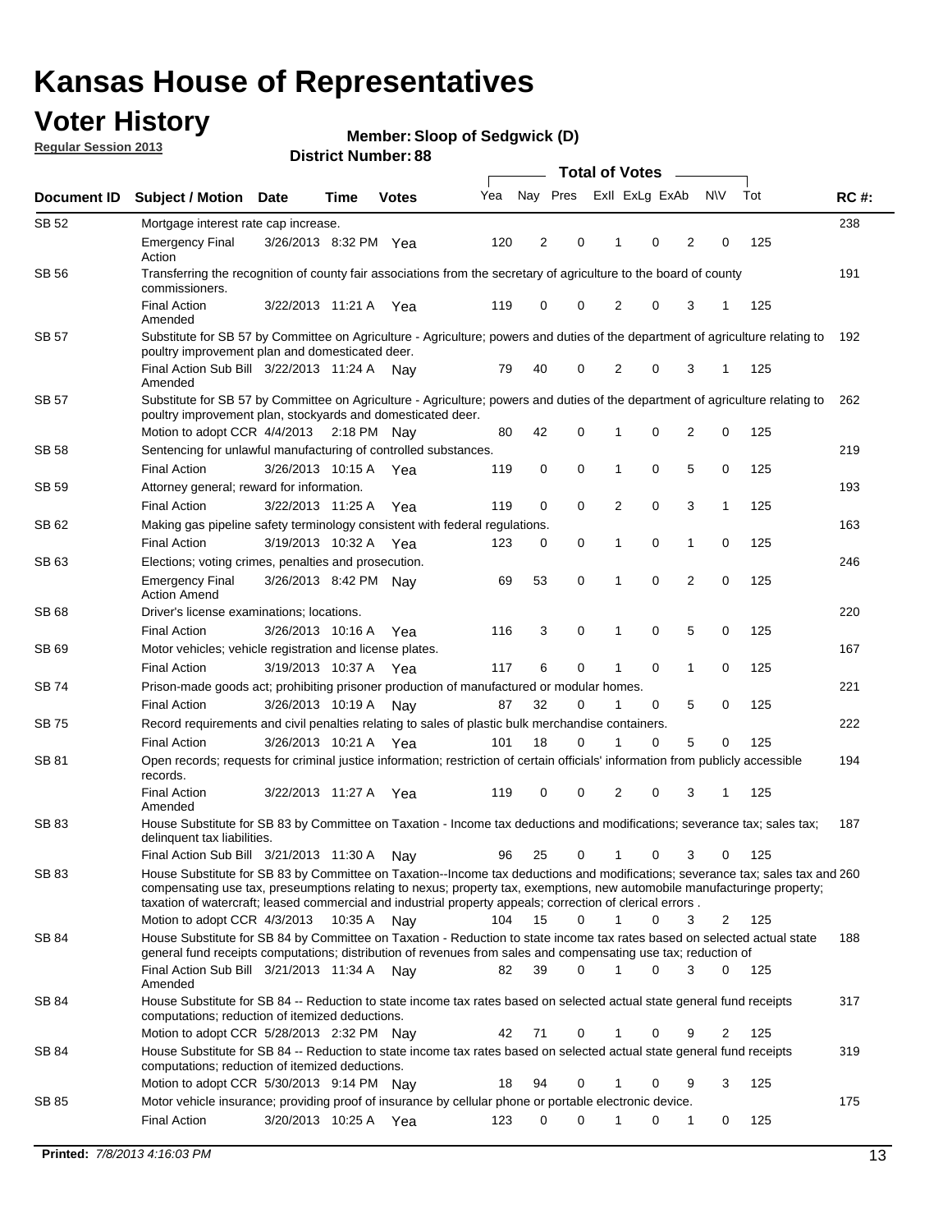## **Voter History**

**Member: Sloop of Sedgwick (D)** 

**Regular Session 2013**

|              |                                                                                                                                                                                                                                                                                                                                                                         |                       |             |              |     | <b>Total of Votes</b> |             |                |   |                |             |     |             |  |  |  |  |  |  |  |  |  |
|--------------|-------------------------------------------------------------------------------------------------------------------------------------------------------------------------------------------------------------------------------------------------------------------------------------------------------------------------------------------------------------------------|-----------------------|-------------|--------------|-----|-----------------------|-------------|----------------|---|----------------|-------------|-----|-------------|--|--|--|--|--|--|--|--|--|
| Document ID  | <b>Subject / Motion Date</b>                                                                                                                                                                                                                                                                                                                                            |                       | Time        | <b>Votes</b> | Yea | Nay Pres              |             | Exll ExLg ExAb |   |                | <b>NV</b>   | Tot | <b>RC#:</b> |  |  |  |  |  |  |  |  |  |
| SB 52        | Mortgage interest rate cap increase.                                                                                                                                                                                                                                                                                                                                    |                       |             |              |     |                       |             |                |   |                |             |     | 238         |  |  |  |  |  |  |  |  |  |
|              | <b>Emergency Final</b><br>Action                                                                                                                                                                                                                                                                                                                                        | 3/26/2013 8:32 PM Yea |             |              | 120 | 2                     | 0           |                | 0 | 2              | 0           | 125 |             |  |  |  |  |  |  |  |  |  |
| SB 56        | Transferring the recognition of county fair associations from the secretary of agriculture to the board of county<br>commissioners.                                                                                                                                                                                                                                     |                       |             |              |     |                       |             |                |   |                |             |     | 191         |  |  |  |  |  |  |  |  |  |
|              | <b>Final Action</b><br>Amended                                                                                                                                                                                                                                                                                                                                          | 3/22/2013 11:21 A     |             | Yea          | 119 | 0                     | 0           | 2              | 0 | 3              | 1           | 125 |             |  |  |  |  |  |  |  |  |  |
| SB 57        | Substitute for SB 57 by Committee on Agriculture - Agriculture; powers and duties of the department of agriculture relating to<br>poultry improvement plan and domesticated deer.                                                                                                                                                                                       |                       |             |              |     |                       |             |                |   |                |             |     | 192         |  |  |  |  |  |  |  |  |  |
|              | Final Action Sub Bill 3/22/2013 11:24 A<br>Amended                                                                                                                                                                                                                                                                                                                      |                       |             | Nav          | 79  | 40                    | 0           | 2              | 0 | 3              | 1           | 125 |             |  |  |  |  |  |  |  |  |  |
| SB 57        | Substitute for SB 57 by Committee on Agriculture - Agriculture; powers and duties of the department of agriculture relating to<br>poultry improvement plan, stockyards and domesticated deer.                                                                                                                                                                           |                       |             |              | 80  | 42                    | 0           | 1              | 0 | 2              | 0           | 125 | 262         |  |  |  |  |  |  |  |  |  |
| SB 58        | Motion to adopt CCR 4/4/2013 2:18 PM Nay<br>Sentencing for unlawful manufacturing of controlled substances.                                                                                                                                                                                                                                                             |                       |             |              |     |                       |             |                |   |                |             |     | 219         |  |  |  |  |  |  |  |  |  |
|              | <b>Final Action</b>                                                                                                                                                                                                                                                                                                                                                     | 3/26/2013 10:15 A     |             |              | 119 | 0                     | 0           | 1              | 0 | 5              | 0           | 125 |             |  |  |  |  |  |  |  |  |  |
| <b>SB 59</b> | Attorney general; reward for information.                                                                                                                                                                                                                                                                                                                               |                       |             | Yea          |     |                       |             |                |   |                |             |     | 193         |  |  |  |  |  |  |  |  |  |
|              | <b>Final Action</b>                                                                                                                                                                                                                                                                                                                                                     | 3/22/2013 11:25 A     |             |              | 119 | 0                     | 0           | 2              | 0 | 3              | 1           | 125 |             |  |  |  |  |  |  |  |  |  |
| SB 62        | Making gas pipeline safety terminology consistent with federal regulations.                                                                                                                                                                                                                                                                                             |                       |             | Yea          |     |                       |             |                |   |                |             |     | 163         |  |  |  |  |  |  |  |  |  |
|              | <b>Final Action</b>                                                                                                                                                                                                                                                                                                                                                     | 3/19/2013 10:32 A     |             | Yea          | 123 | 0                     | 0           | 1              | 0 | 1              | 0           | 125 |             |  |  |  |  |  |  |  |  |  |
| SB 63        | Elections; voting crimes, penalties and prosecution.                                                                                                                                                                                                                                                                                                                    |                       |             |              |     |                       |             |                |   |                |             |     | 246         |  |  |  |  |  |  |  |  |  |
|              | <b>Emergency Final</b><br><b>Action Amend</b>                                                                                                                                                                                                                                                                                                                           | 3/26/2013 8:42 PM Nay |             |              | 69  | 53                    | $\mathbf 0$ | 1              | 0 | $\overline{2}$ | $\mathbf 0$ | 125 |             |  |  |  |  |  |  |  |  |  |
| SB 68        | Driver's license examinations; locations.                                                                                                                                                                                                                                                                                                                               |                       |             |              |     |                       |             |                |   |                |             |     | 220         |  |  |  |  |  |  |  |  |  |
|              | <b>Final Action</b>                                                                                                                                                                                                                                                                                                                                                     | 3/26/2013 10:16 A     |             | Yea          | 116 | 3                     | 0           | 1              | 0 | 5              | 0           | 125 |             |  |  |  |  |  |  |  |  |  |
| SB 69        | Motor vehicles; vehicle registration and license plates.                                                                                                                                                                                                                                                                                                                |                       |             |              |     |                       |             |                |   |                |             |     | 167         |  |  |  |  |  |  |  |  |  |
|              | <b>Final Action</b>                                                                                                                                                                                                                                                                                                                                                     | 3/19/2013 10:37 A     |             | Yea          | 117 | 6                     | 0           | 1              | 0 | 1              | 0           | 125 |             |  |  |  |  |  |  |  |  |  |
| SB 74        | Prison-made goods act; prohibiting prisoner production of manufactured or modular homes.                                                                                                                                                                                                                                                                                |                       |             |              |     |                       |             |                |   |                |             |     | 221         |  |  |  |  |  |  |  |  |  |
|              | <b>Final Action</b>                                                                                                                                                                                                                                                                                                                                                     | 3/26/2013 10:19 A     |             | Nay          | 87  | 32                    | 0           | 1              | 0 | 5              | 0           | 125 |             |  |  |  |  |  |  |  |  |  |
| SB 75        | Record requirements and civil penalties relating to sales of plastic bulk merchandise containers.                                                                                                                                                                                                                                                                       |                       |             |              |     |                       |             |                |   |                |             |     | 222         |  |  |  |  |  |  |  |  |  |
|              | <b>Final Action</b>                                                                                                                                                                                                                                                                                                                                                     | 3/26/2013 10:21 A     |             | Yea          | 101 | 18                    | 0           | 1              | 0 | 5              | 0           | 125 |             |  |  |  |  |  |  |  |  |  |
| SB 81        | Open records; requests for criminal justice information; restriction of certain officials' information from publicly accessible<br>records.                                                                                                                                                                                                                             |                       |             |              |     |                       |             |                |   |                |             |     | 194         |  |  |  |  |  |  |  |  |  |
|              | <b>Final Action</b><br>Amended                                                                                                                                                                                                                                                                                                                                          | 3/22/2013 11:27 A     |             | Yea          | 119 | 0                     | 0           | 2              | 0 | 3              | 1           | 125 |             |  |  |  |  |  |  |  |  |  |
| <b>SB83</b>  | House Substitute for SB 83 by Committee on Taxation - Income tax deductions and modifications; severance tax; sales tax;<br>delinquent tax liabilities.                                                                                                                                                                                                                 |                       |             |              |     |                       |             |                |   |                |             |     | 187         |  |  |  |  |  |  |  |  |  |
|              | Final Action Sub Bill 3/21/2013 11:30 A                                                                                                                                                                                                                                                                                                                                 |                       |             | Nav          | 96  | 25                    | 0           | 1              | 0 | 3              | 0           | 125 |             |  |  |  |  |  |  |  |  |  |
| SB 83        | House Substitute for SB 83 by Committee on Taxation--Income tax deductions and modifications; severance tax; sales tax and 260<br>compensating use tax, preseumptions relating to nexus; property tax, exemptions, new automobile manufacturinge property;<br>taxation of watercraft; leased commercial and industrial property appeals; correction of clerical errors. |                       |             |              | 104 | 15                    | 0           | $\mathbf{1}$   | 0 | 3              | 2           | 125 |             |  |  |  |  |  |  |  |  |  |
| SB 84        | Motion to adopt CCR 4/3/2013<br>House Substitute for SB 84 by Committee on Taxation - Reduction to state income tax rates based on selected actual state                                                                                                                                                                                                                |                       | 10:35 A Nay |              |     |                       |             |                |   |                |             |     | 188         |  |  |  |  |  |  |  |  |  |
|              | general fund receipts computations; distribution of revenues from sales and compensating use tax; reduction of<br>Final Action Sub Bill 3/21/2013 11:34 A Nay                                                                                                                                                                                                           |                       |             |              | 82  | 39                    | $\Omega$    |                | 0 | 3              | $\Omega$    | 125 |             |  |  |  |  |  |  |  |  |  |
| SB 84        | Amended<br>House Substitute for SB 84 -- Reduction to state income tax rates based on selected actual state general fund receipts                                                                                                                                                                                                                                       |                       |             |              |     |                       |             |                |   |                |             |     | 317         |  |  |  |  |  |  |  |  |  |
|              | computations; reduction of itemized deductions.<br>Motion to adopt CCR 5/28/2013 2:32 PM Nav                                                                                                                                                                                                                                                                            |                       |             |              | 42  | 71                    | 0           |                | 0 | 9              | 2           | 125 |             |  |  |  |  |  |  |  |  |  |
| SB 84        | House Substitute for SB 84 -- Reduction to state income tax rates based on selected actual state general fund receipts                                                                                                                                                                                                                                                  |                       |             |              |     |                       |             |                |   |                |             |     | 319         |  |  |  |  |  |  |  |  |  |
|              | computations; reduction of itemized deductions.<br>Motion to adopt CCR 5/30/2013 9:14 PM Nay                                                                                                                                                                                                                                                                            |                       |             |              | 18  | 94                    | 0           |                | 0 | 9              | 3           | 125 |             |  |  |  |  |  |  |  |  |  |
| SB 85        | Motor vehicle insurance; providing proof of insurance by cellular phone or portable electronic device.                                                                                                                                                                                                                                                                  |                       |             |              |     |                       |             |                |   |                |             |     | 175         |  |  |  |  |  |  |  |  |  |
|              | <b>Final Action</b>                                                                                                                                                                                                                                                                                                                                                     | 3/20/2013 10:25 A Yea |             |              | 123 | 0                     | 0           |                | 0 | 1              | 0           | 125 |             |  |  |  |  |  |  |  |  |  |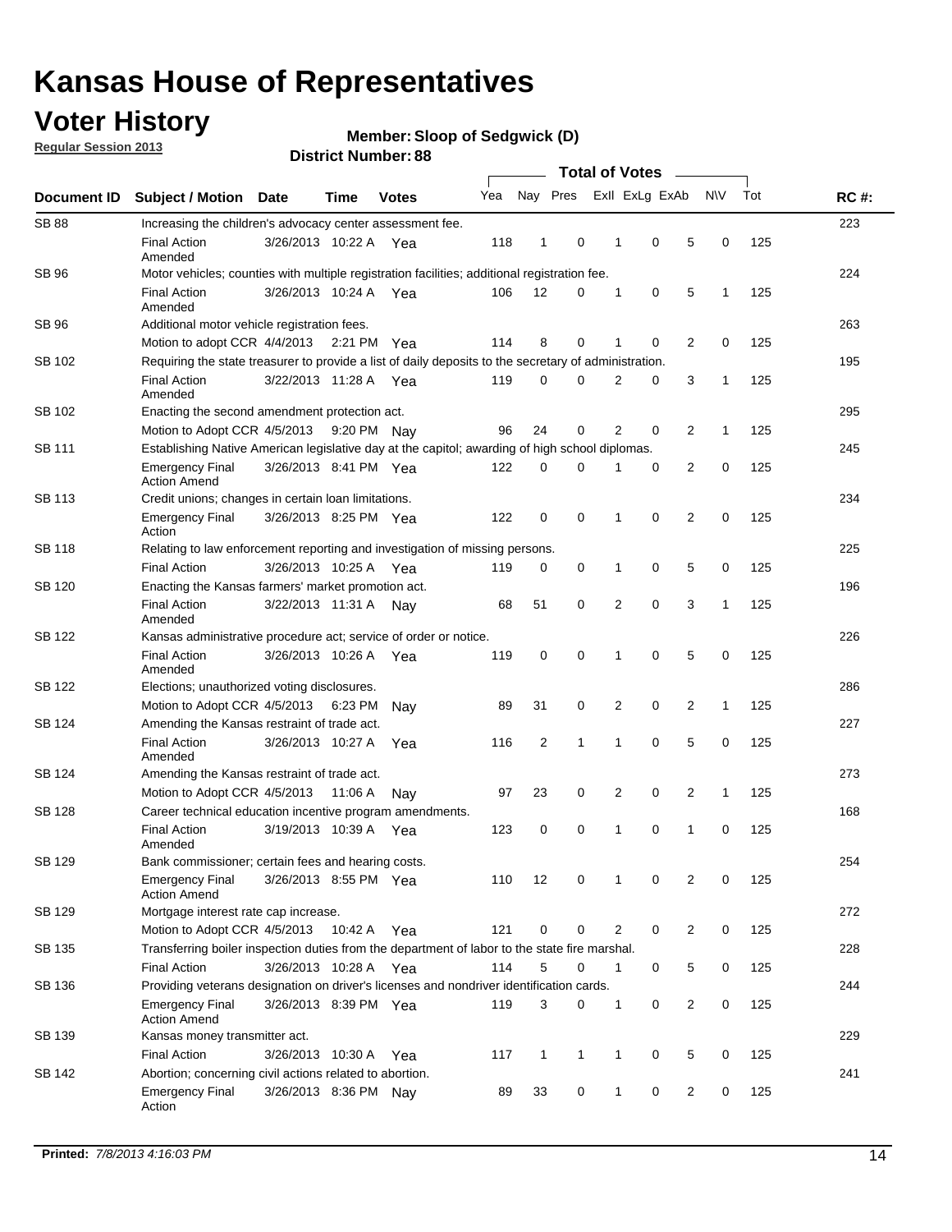## **Voter History**

**Regular Session 2013**

**Member: Sloop of Sedgwick (D)** 

| Document ID   |                                                                                                       |                                                                                            |         |              |     |                |              |   |                |                |              |     |             |  |
|---------------|-------------------------------------------------------------------------------------------------------|--------------------------------------------------------------------------------------------|---------|--------------|-----|----------------|--------------|---|----------------|----------------|--------------|-----|-------------|--|
|               | <b>Subject / Motion Date</b>                                                                          |                                                                                            | Time    | <b>Votes</b> | Yea | Nay Pres       |              |   | Exll ExLg ExAb |                | N\V          | Tot | <b>RC#:</b> |  |
| <b>SB 88</b>  | Increasing the children's advocacy center assessment fee.                                             |                                                                                            |         |              |     |                |              |   |                |                |              |     | 223         |  |
|               | <b>Final Action</b><br>Amended                                                                        | 3/26/2013 10:22 A Yea                                                                      |         |              | 118 | 1              | 0            | 1 | 0              | 5              | 0            | 125 |             |  |
| SB 96         | Motor vehicles; counties with multiple registration facilities; additional registration fee.          |                                                                                            |         |              |     |                |              |   |                |                |              |     | 224         |  |
|               | <b>Final Action</b><br>Amended                                                                        | 3/26/2013 10:24 A Yea                                                                      |         |              | 106 | 12             | 0            | 1 | 0              | 5              | 1            | 125 |             |  |
| SB 96         | Additional motor vehicle registration fees.                                                           |                                                                                            |         |              |     |                |              |   |                |                |              |     | 263         |  |
|               | Motion to adopt CCR 4/4/2013 2:21 PM Yea                                                              |                                                                                            |         |              | 114 | 8              | 0            | 1 | 0              | 2              | 0            | 125 |             |  |
| SB 102        | Requiring the state treasurer to provide a list of daily deposits to the secretary of administration. |                                                                                            |         |              |     |                |              |   |                |                |              |     | 195         |  |
|               | <b>Final Action</b><br>Amended                                                                        | 3/22/2013 11:28 A Yea                                                                      |         |              | 119 | 0              | 0            | 2 | 0              | 3              | 1            | 125 |             |  |
| SB 102        |                                                                                                       | 295<br>Enacting the second amendment protection act.                                       |         |              |     |                |              |   |                |                |              |     |             |  |
|               | Motion to Adopt CCR 4/5/2013                                                                          |                                                                                            |         | 9:20 PM Nav  | 96  | 24             | 0            | 2 | 0              | $\overline{2}$ | 1            | 125 |             |  |
| SB 111        | Establishing Native American legislative day at the capitol; awarding of high school diplomas.        |                                                                                            |         |              |     |                |              |   |                |                |              |     |             |  |
|               | <b>Emergency Final</b><br><b>Action Amend</b>                                                         | 3/26/2013 8:41 PM Yea                                                                      |         |              | 122 | 0              | 0            | 1 | 0              | 2              | 0            | 125 |             |  |
| SB 113        | Credit unions; changes in certain loan limitations.                                                   |                                                                                            |         |              |     |                |              |   |                |                |              |     | 234         |  |
|               | <b>Emergency Final</b><br>Action                                                                      | 3/26/2013 8:25 PM Yea                                                                      |         |              | 122 | 0              | 0            | 1 | 0              | 2              | 0            | 125 |             |  |
| SB 118        | Relating to law enforcement reporting and investigation of missing persons.                           |                                                                                            |         |              |     |                |              |   |                |                |              |     | 225         |  |
|               | <b>Final Action</b>                                                                                   | 3/26/2013 10:25 A Yea                                                                      |         |              | 119 | 0              | 0            | 1 | 0              | 5              | 0            | 125 |             |  |
| SB 120        | Enacting the Kansas farmers' market promotion act.                                                    |                                                                                            |         |              |     |                |              |   |                |                |              |     | 196         |  |
|               | <b>Final Action</b><br>Amended                                                                        | 3/22/2013 11:31 A Nav                                                                      |         |              | 68  | 51             | 0            | 2 | $\mathbf 0$    | 3              | 1            | 125 |             |  |
| SB 122        | Kansas administrative procedure act; service of order or notice.                                      |                                                                                            |         |              |     |                |              |   |                |                |              |     | 226         |  |
|               | <b>Final Action</b><br>Amended                                                                        | 3/26/2013 10:26 A                                                                          |         | Yea          | 119 | 0              | 0            | 1 | $\mathbf 0$    | 5              | 0            | 125 |             |  |
| SB 122        | Elections; unauthorized voting disclosures.                                                           |                                                                                            |         |              |     |                |              |   |                |                |              |     |             |  |
|               |                                                                                                       | 2<br>0<br>2<br>Motion to Adopt CCR 4/5/2013<br>89<br>31<br>0<br>1<br>125<br>6:23 PM<br>Nav |         |              |     |                |              |   |                |                |              |     |             |  |
| SB 124        | Amending the Kansas restraint of trade act.                                                           |                                                                                            |         |              |     |                |              |   |                |                |              |     | 227         |  |
|               | <b>Final Action</b><br>Amended                                                                        | 3/26/2013 10:27 A                                                                          |         | Yea          | 116 | $\overline{2}$ | 1            | 1 | 0              | 5              | 0            | 125 |             |  |
| SB 124        | Amending the Kansas restraint of trade act.                                                           |                                                                                            |         |              |     |                |              |   |                |                |              |     | 273         |  |
|               | Motion to Adopt CCR 4/5/2013                                                                          |                                                                                            | 11:06 A | Nav          | 97  | 23             | 0            | 2 | 0              | 2              | $\mathbf{1}$ | 125 |             |  |
| <b>SB 128</b> | Career technical education incentive program amendments.                                              |                                                                                            |         |              |     |                |              |   |                |                |              |     | 168         |  |
|               | <b>Final Action</b><br>Amended                                                                        | 3/19/2013 10:39 A                                                                          |         | Yea          | 123 | 0              | 0            | 1 | 0              | 1              | 0            | 125 |             |  |
| <b>SB 129</b> | Bank commissioner; certain fees and hearing costs.                                                    |                                                                                            |         |              |     |                |              |   |                |                |              |     | 254         |  |
|               | <b>Emergency Final</b><br><b>Action Amend</b>                                                         | 3/26/2013 8:55 PM Yea                                                                      |         |              | 110 | 12             | 0            | 1 | 0              | 2              | 0            | 125 |             |  |
| SB 129        | Mortgage interest rate cap increase.                                                                  |                                                                                            |         |              |     |                |              |   |                |                |              |     | 272         |  |
|               | Motion to Adopt CCR 4/5/2013                                                                          |                                                                                            | 10:42 A | Yea          | 121 | 0              | 0            | 2 | 0              | $\overline{c}$ | 0            | 125 |             |  |
| SB 135        | Transferring boiler inspection duties from the department of labor to the state fire marshal.         |                                                                                            |         |              |     |                |              |   |                |                |              |     | 228         |  |
|               | <b>Final Action</b>                                                                                   | 3/26/2013 10:28 A Yea                                                                      |         |              | 114 | 5              | 0            | 1 | 0              | 5              | 0            | 125 |             |  |
| SB 136        | Providing veterans designation on driver's licenses and nondriver identification cards.               |                                                                                            |         |              |     |                |              |   |                |                |              |     | 244         |  |
|               | <b>Emergency Final</b><br><b>Action Amend</b>                                                         | 3/26/2013 8:39 PM Yea                                                                      |         |              | 119 | 3              | 0            | 1 | 0              | $\overline{c}$ | 0            | 125 |             |  |
| SB 139        | Kansas money transmitter act.                                                                         |                                                                                            |         |              |     |                |              |   |                |                |              |     | 229         |  |
|               | <b>Final Action</b>                                                                                   | 3/26/2013 10:30 A                                                                          |         | Yea          | 117 | $\mathbf{1}$   | $\mathbf{1}$ | 1 | 0              | 5              | 0            | 125 |             |  |
| SB 142        | Abortion; concerning civil actions related to abortion.                                               |                                                                                            |         |              |     |                |              |   |                |                |              |     | 241         |  |
|               | <b>Emergency Final</b><br>Action                                                                      | 3/26/2013 8:36 PM Nay                                                                      |         |              | 89  | 33             | 0            | 1 | 0              | 2              | 0            | 125 |             |  |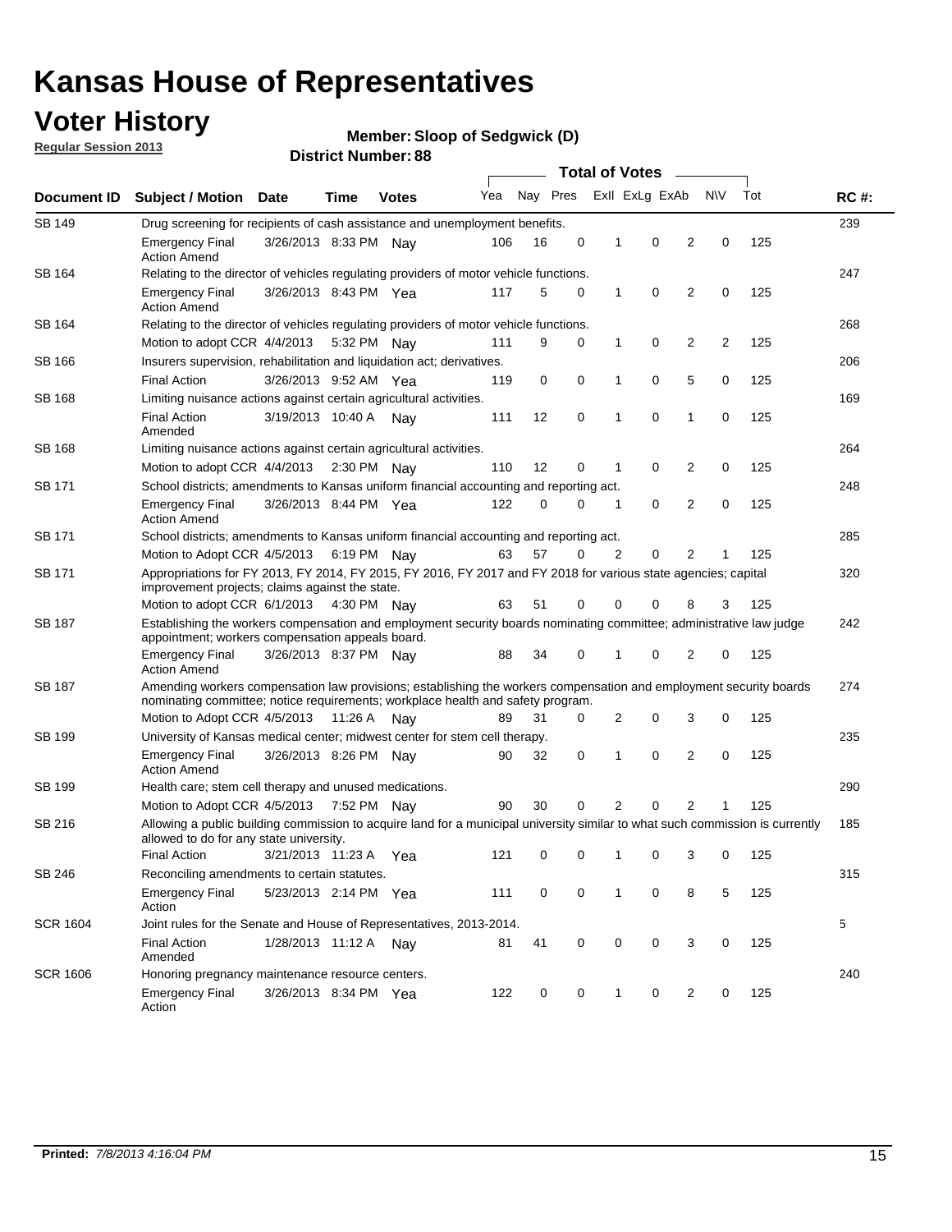## **Voter History**

**Member: Sloop of Sedgwick (D)** 

**Regular Session 2013**

| Document ID     |                                                                                                                                                                                                       |                                                                                      |             |              |     |          | <b>Total of Votes</b> |   |                | $\sim$         |           |     | <b>RC#:</b> |
|-----------------|-------------------------------------------------------------------------------------------------------------------------------------------------------------------------------------------------------|--------------------------------------------------------------------------------------|-------------|--------------|-----|----------|-----------------------|---|----------------|----------------|-----------|-----|-------------|
|                 | <b>Subject / Motion Date</b>                                                                                                                                                                          |                                                                                      | Time        | <b>Votes</b> | Yea | Nay Pres |                       |   | Exll ExLg ExAb |                | <b>NV</b> | Tot |             |
| <b>SB 149</b>   | 239<br>Drug screening for recipients of cash assistance and unemployment benefits.                                                                                                                    |                                                                                      |             |              |     |          |                       |   |                |                |           |     |             |
|                 | <b>Emergency Final</b><br><b>Action Amend</b>                                                                                                                                                         | 3/26/2013 8:33 PM Nav                                                                |             |              | 106 | 16       | 0                     | 1 | 0              | 2              | 0         | 125 |             |
| SB 164          | Relating to the director of vehicles regulating providers of motor vehicle functions.                                                                                                                 |                                                                                      |             |              |     |          |                       |   |                |                |           |     | 247         |
|                 | <b>Emergency Final</b><br><b>Action Amend</b>                                                                                                                                                         | 3/26/2013 8:43 PM Yea                                                                |             |              | 117 | 5        | 0                     | 1 | 0              | 2              | 0         | 125 |             |
| SB 164          | Relating to the director of vehicles regulating providers of motor vehicle functions.                                                                                                                 |                                                                                      |             |              |     |          |                       |   |                |                |           |     | 268         |
|                 | Motion to adopt CCR 4/4/2013                                                                                                                                                                          |                                                                                      | 5:32 PM Nay |              | 111 | 9        | 0                     | 1 | 0              | 2              | 2         | 125 |             |
| SB 166          | Insurers supervision, rehabilitation and liquidation act; derivatives.                                                                                                                                |                                                                                      |             |              |     |          |                       |   |                |                |           |     | 206         |
|                 | <b>Final Action</b>                                                                                                                                                                                   | 3/26/2013 9:52 AM Yea                                                                |             |              | 119 | 0        | 0                     | 1 | 0              | 5              | 0         | 125 |             |
| SB 168          | Limiting nuisance actions against certain agricultural activities.                                                                                                                                    |                                                                                      |             |              |     |          |                       |   |                |                |           |     | 169         |
|                 | <b>Final Action</b><br>Amended                                                                                                                                                                        | 3/19/2013 10:40 A Nay                                                                |             |              | 111 | 12       | 0                     | 1 | $\mathbf 0$    | 1              | 0         | 125 |             |
| SB 168          | Limiting nuisance actions against certain agricultural activities.                                                                                                                                    |                                                                                      |             |              |     |          |                       |   |                |                |           |     | 264         |
|                 | Motion to adopt CCR 4/4/2013                                                                                                                                                                          |                                                                                      | 2:30 PM Nay |              | 110 | 12       | 0                     | 1 | 0              | 2              | 0         | 125 |             |
| <b>SB 171</b>   | School districts; amendments to Kansas uniform financial accounting and reporting act.                                                                                                                |                                                                                      |             |              |     |          |                       |   |                |                |           |     | 248         |
|                 | <b>Emergency Final</b><br><b>Action Amend</b>                                                                                                                                                         | 3/26/2013 8:44 PM Yea                                                                |             |              | 122 | 0        | 0                     | 1 | 0              | 2              | 0         | 125 |             |
| SB 171          | School districts; amendments to Kansas uniform financial accounting and reporting act.                                                                                                                |                                                                                      |             |              |     |          |                       |   |                |                |           |     | 285         |
|                 |                                                                                                                                                                                                       | Motion to Adopt CCR 4/5/2013 6:19 PM Nay<br>57<br>2<br>0<br>2<br>125<br>63<br>0<br>1 |             |              |     |          |                       |   |                |                |           |     |             |
| SB 171          | Appropriations for FY 2013, FY 2014, FY 2015, FY 2016, FY 2017 and FY 2018 for various state agencies; capital<br>improvement projects; claims against the state.                                     |                                                                                      |             |              |     |          |                       |   |                |                |           | 320 |             |
|                 | Motion to adopt CCR 6/1/2013 4:30 PM Nay                                                                                                                                                              |                                                                                      |             |              | 63  | 51       | 0                     | 0 | 0              | 8              | 3         | 125 |             |
| SB 187          | Establishing the workers compensation and employment security boards nominating committee; administrative law judge<br>appointment; workers compensation appeals board.                               |                                                                                      |             |              |     |          |                       |   |                |                |           |     | 242         |
|                 | <b>Emergency Final</b><br><b>Action Amend</b>                                                                                                                                                         | 3/26/2013 8:37 PM Nav                                                                |             |              | 88  | 34       | 0                     | 1 | 0              | 2              | 0         | 125 |             |
| SB 187          | Amending workers compensation law provisions; establishing the workers compensation and employment security boards<br>nominating committee; notice requirements; workplace health and safety program. |                                                                                      |             |              |     |          |                       |   |                |                |           |     | 274         |
|                 | Motion to Adopt CCR 4/5/2013 11:26 A Nay                                                                                                                                                              |                                                                                      |             |              | 89  | 31       | 0                     | 2 | 0              | 3              | 0         | 125 |             |
| SB 199          | University of Kansas medical center; midwest center for stem cell therapy.                                                                                                                            |                                                                                      |             |              |     |          |                       |   |                |                |           |     | 235         |
|                 | <b>Emergency Final</b><br><b>Action Amend</b>                                                                                                                                                         | 3/26/2013 8:26 PM Nav                                                                |             |              | 90  | 32       | 0                     | 1 | 0              | 2              | 0         | 125 |             |
| SB 199          | Health care; stem cell therapy and unused medications.                                                                                                                                                |                                                                                      |             |              |     |          |                       |   |                |                |           |     | 290         |
|                 | Motion to Adopt CCR 4/5/2013                                                                                                                                                                          |                                                                                      | 7:52 PM Nay |              | 90  | 30       | 0                     | 2 | 0              | $\overline{2}$ | 1         | 125 |             |
| SB 216          | Allowing a public building commission to acquire land for a municipal university similar to what such commission is currently<br>allowed to do for any state university.                              |                                                                                      |             |              |     |          |                       |   |                |                |           | 185 |             |
|                 | <b>Final Action</b>                                                                                                                                                                                   | 3/21/2013 11:23 A                                                                    |             | Yea          | 121 | 0        | 0                     | 1 | 0              | 3              | 0         | 125 |             |
| SB 246          | Reconciling amendments to certain statutes.                                                                                                                                                           |                                                                                      |             |              |     |          |                       |   |                |                |           |     | 315         |
|                 | <b>Emergency Final</b><br>Action                                                                                                                                                                      | 5/23/2013 2:14 PM Yea                                                                |             |              | 111 | 0        | 0                     | 1 | 0              | 8              | 5         | 125 |             |
| <b>SCR 1604</b> | Joint rules for the Senate and House of Representatives, 2013-2014.                                                                                                                                   |                                                                                      |             |              |     |          |                       |   |                |                |           |     | 5           |
|                 | <b>Final Action</b><br>Amended                                                                                                                                                                        | 1/28/2013 11:12 A Nay                                                                |             |              | 81  | 41       | 0                     | 0 | 0              | 3              | 0         | 125 |             |
| <b>SCR 1606</b> | Honoring pregnancy maintenance resource centers.                                                                                                                                                      |                                                                                      |             |              |     |          |                       |   |                |                |           |     | 240         |
|                 | Emergency Final<br>Action                                                                                                                                                                             | 3/26/2013 8:34 PM Yea                                                                |             |              | 122 | 0        | 0                     | 1 | 0              | 2              | 0         | 125 |             |